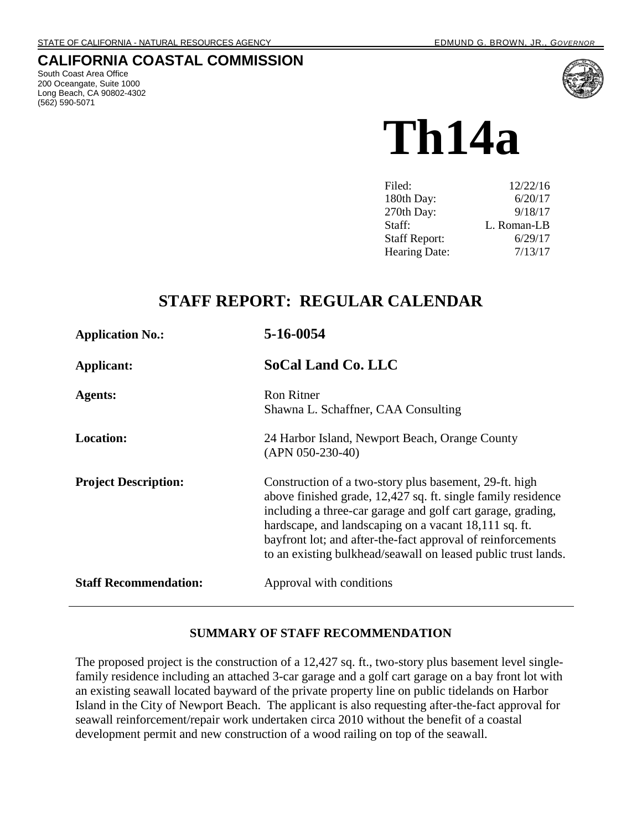## **CALIFORNIA COASTAL COMMISSION**

South Coast Area Office 200 Oceangate, Suite 1000 Long Beach, CA 90802-4302 (562) 590-5071



# **Th14a**

| Filed:               | 12/22/16    |
|----------------------|-------------|
| 180th Day:           | 6/20/17     |
| 270th Day:           | 9/18/17     |
| Staff:               | L. Roman-LB |
| <b>Staff Report:</b> | 6/29/17     |
| Hearing Date:        | 7/13/17     |

## **STAFF REPORT: REGULAR CALENDAR**

| <b>Application No.:</b>      | 5-16-0054                                                                                                                                                                                                                                                                                                                                                                      |
|------------------------------|--------------------------------------------------------------------------------------------------------------------------------------------------------------------------------------------------------------------------------------------------------------------------------------------------------------------------------------------------------------------------------|
| Applicant:                   | <b>SoCal Land Co. LLC</b>                                                                                                                                                                                                                                                                                                                                                      |
| <b>Agents:</b>               | <b>Ron Ritner</b><br>Shawna L. Schaffner, CAA Consulting                                                                                                                                                                                                                                                                                                                       |
| <b>Location:</b>             | 24 Harbor Island, Newport Beach, Orange County<br>$(APN 050-230-40)$                                                                                                                                                                                                                                                                                                           |
| <b>Project Description:</b>  | Construction of a two-story plus basement, 29-ft. high<br>above finished grade, 12,427 sq. ft. single family residence<br>including a three-car garage and golf cart garage, grading,<br>hardscape, and landscaping on a vacant 18,111 sq. ft.<br>bayfront lot; and after-the-fact approval of reinforcements<br>to an existing bulkhead/seawall on leased public trust lands. |
| <b>Staff Recommendation:</b> | Approval with conditions                                                                                                                                                                                                                                                                                                                                                       |

#### **SUMMARY OF STAFF RECOMMENDATION**

The proposed project is the construction of a 12,427 sq. ft., two-story plus basement level singlefamily residence including an attached 3-car garage and a golf cart garage on a bay front lot with an existing seawall located bayward of the private property line on public tidelands on Harbor Island in the City of Newport Beach. The applicant is also requesting after-the-fact approval for seawall reinforcement/repair work undertaken circa 2010 without the benefit of a coastal development permit and new construction of a wood railing on top of the seawall.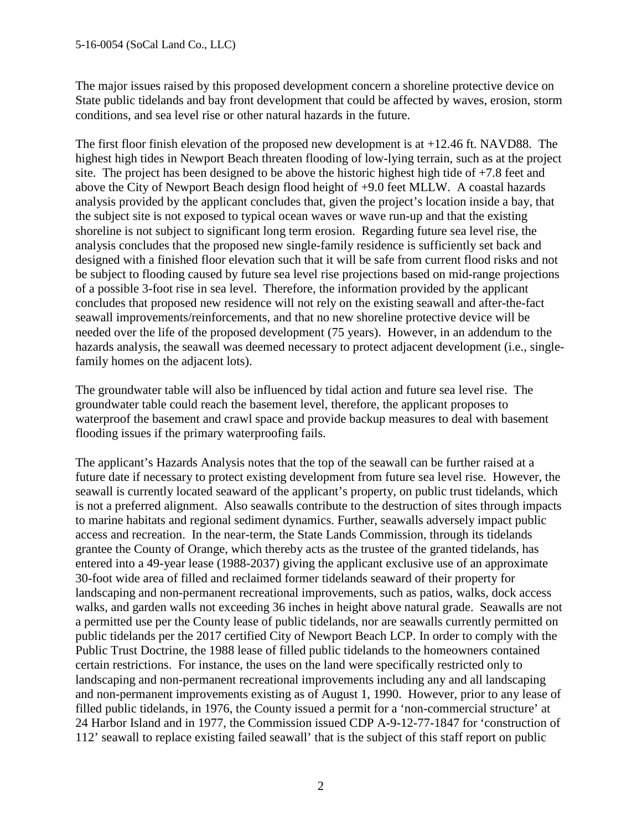The major issues raised by this proposed development concern a shoreline protective device on State public tidelands and bay front development that could be affected by waves, erosion, storm conditions, and sea level rise or other natural hazards in the future.

The first floor finish elevation of the proposed new development is at +12.46 ft. NAVD88. The highest high tides in Newport Beach threaten flooding of low-lying terrain, such as at the project site. The project has been designed to be above the historic highest high tide of +7.8 feet and above the City of Newport Beach design flood height of +9.0 feet MLLW. A coastal hazards analysis provided by the applicant concludes that, given the project's location inside a bay, that the subject site is not exposed to typical ocean waves or wave run-up and that the existing shoreline is not subject to significant long term erosion. Regarding future sea level rise, the analysis concludes that the proposed new single-family residence is sufficiently set back and designed with a finished floor elevation such that it will be safe from current flood risks and not be subject to flooding caused by future sea level rise projections based on mid-range projections of a possible 3-foot rise in sea level. Therefore, the information provided by the applicant concludes that proposed new residence will not rely on the existing seawall and after-the-fact seawall improvements/reinforcements, and that no new shoreline protective device will be needed over the life of the proposed development (75 years). However, in an addendum to the hazards analysis, the seawall was deemed necessary to protect adjacent development (i.e., singlefamily homes on the adjacent lots).

The groundwater table will also be influenced by tidal action and future sea level rise. The groundwater table could reach the basement level, therefore, the applicant proposes to waterproof the basement and crawl space and provide backup measures to deal with basement flooding issues if the primary waterproofing fails.

The applicant's Hazards Analysis notes that the top of the seawall can be further raised at a future date if necessary to protect existing development from future sea level rise. However, the seawall is currently located seaward of the applicant's property, on public trust tidelands, which is not a preferred alignment. Also seawalls contribute to the destruction of sites through impacts to marine habitats and regional sediment dynamics. Further, seawalls adversely impact public access and recreation. In the near-term, the State Lands Commission, through its tidelands grantee the County of Orange, which thereby acts as the trustee of the granted tidelands, has entered into a 49-year lease (1988-2037) giving the applicant exclusive use of an approximate 30-foot wide area of filled and reclaimed former tidelands seaward of their property for landscaping and non-permanent recreational improvements, such as patios, walks, dock access walks, and garden walls not exceeding 36 inches in height above natural grade. Seawalls are not a permitted use per the County lease of public tidelands, nor are seawalls currently permitted on public tidelands per the 2017 certified City of Newport Beach LCP. In order to comply with the Public Trust Doctrine, the 1988 lease of filled public tidelands to the homeowners contained certain restrictions. For instance, the uses on the land were specifically restricted only to landscaping and non-permanent recreational improvements including any and all landscaping and non-permanent improvements existing as of August 1, 1990. However, prior to any lease of filled public tidelands, in 1976, the County issued a permit for a 'non-commercial structure' at 24 Harbor Island and in 1977, the Commission issued CDP A-9-12-77-1847 for 'construction of 112' seawall to replace existing failed seawall' that is the subject of this staff report on public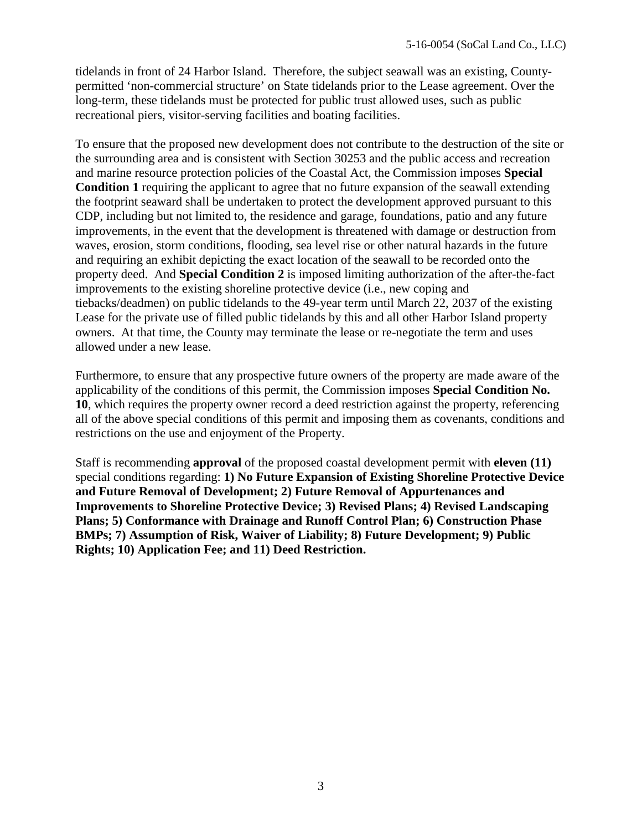tidelands in front of 24 Harbor Island. Therefore, the subject seawall was an existing, Countypermitted 'non-commercial structure' on State tidelands prior to the Lease agreement. Over the long-term, these tidelands must be protected for public trust allowed uses, such as public recreational piers, visitor-serving facilities and boating facilities.

To ensure that the proposed new development does not contribute to the destruction of the site or the surrounding area and is consistent with Section 30253 and the public access and recreation and marine resource protection policies of the Coastal Act, the Commission imposes **Special Condition 1** requiring the applicant to agree that no future expansion of the seawall extending the footprint seaward shall be undertaken to protect the development approved pursuant to this CDP, including but not limited to, the residence and garage, foundations, patio and any future improvements, in the event that the development is threatened with damage or destruction from waves, erosion, storm conditions, flooding, sea level rise or other natural hazards in the future and requiring an exhibit depicting the exact location of the seawall to be recorded onto the property deed. And **Special Condition 2** is imposed limiting authorization of the after-the-fact improvements to the existing shoreline protective device (i.e., new coping and tiebacks/deadmen) on public tidelands to the 49-year term until March 22, 2037 of the existing Lease for the private use of filled public tidelands by this and all other Harbor Island property owners. At that time, the County may terminate the lease or re-negotiate the term and uses allowed under a new lease.

Furthermore, to ensure that any prospective future owners of the property are made aware of the applicability of the conditions of this permit, the Commission imposes **Special Condition No. 10**, which requires the property owner record a deed restriction against the property, referencing all of the above special conditions of this permit and imposing them as covenants, conditions and restrictions on the use and enjoyment of the Property.

Staff is recommending **approval** of the proposed coastal development permit with **eleven (11)** special conditions regarding: **1) No Future Expansion of Existing Shoreline Protective Device and Future Removal of Development; 2) Future Removal of Appurtenances and Improvements to Shoreline Protective Device; 3) Revised Plans; 4) Revised Landscaping Plans; 5) Conformance with Drainage and Runoff Control Plan; 6) Construction Phase BMPs; 7) Assumption of Risk, Waiver of Liability; 8) Future Development; 9) Public Rights; 10) Application Fee; and 11) Deed Restriction.**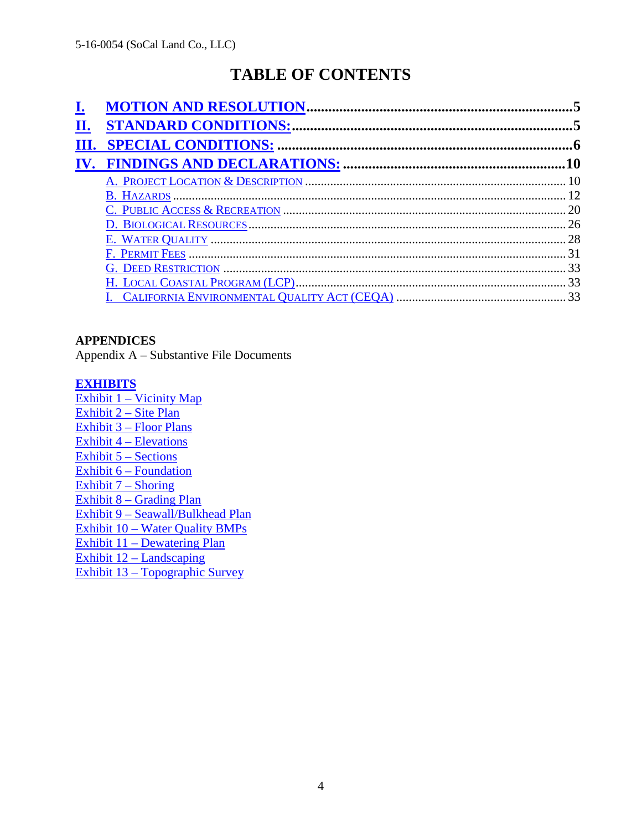# **TABLE OF CONTENTS**

| П.   |  |
|------|--|
| III. |  |
|      |  |
|      |  |
|      |  |
|      |  |
|      |  |
|      |  |
|      |  |
|      |  |
|      |  |
|      |  |

#### **APPENDICES**

Appendix A – Substantive File Documents

#### **[EXHIBITS](https://documents.coastal.ca.gov/reports/2017/7/Th14a/Th14a-7-2017-exhibits.pdf)**

[Exhibit 1 – Vicinity Map](https://documents.coastal.ca.gov/reports/2017/7/Th14a/Th14a-7-2017-exhibits.pdf) [Exhibit 2 – Site Plan](https://documents.coastal.ca.gov/reports/2017/7/Th14a/Th14a-7-2017-exhibits.pdf)  [Exhibit 3 – Floor Plans](https://documents.coastal.ca.gov/reports/2017/7/Th14a/Th14a-7-2017-exhibits.pdf)  [Exhibit 4 – Elevations](https://documents.coastal.ca.gov/reports/2017/7/Th14a/Th14a-7-2017-exhibits.pdf)  [Exhibit 5 – Sections](https://documents.coastal.ca.gov/reports/2017/7/Th14a/Th14a-7-2017-exhibits.pdf)  Exhibit 6 – Foundation [Exhibit 7 – Shoring](https://documents.coastal.ca.gov/reports/2017/7/Th14a/Th14a-7-2017-exhibits.pdf)  Exhibit 8 – Grading Plan [Exhibit 9 – Seawall/Bulkhead Plan](https://documents.coastal.ca.gov/reports/2017/7/Th14a/Th14a-7-2017-exhibits.pdf)  [Exhibit 10 – Water Quality BMPs](https://documents.coastal.ca.gov/reports/2017/7/Th14a/Th14a-7-2017-exhibits.pdf)  [Exhibit 11 – Dewatering Plan](https://documents.coastal.ca.gov/reports/2017/7/Th14a/Th14a-7-2017-exhibits.pdf) [Exhibit 12 – Landscaping](https://documents.coastal.ca.gov/reports/2017/7/Th14a/Th14a-7-2017-exhibits.pdf)  [Exhibit 13 – Topographic Survey](https://documents.coastal.ca.gov/reports/2017/7/Th14a/Th14a-7-2017-exhibits.pdf)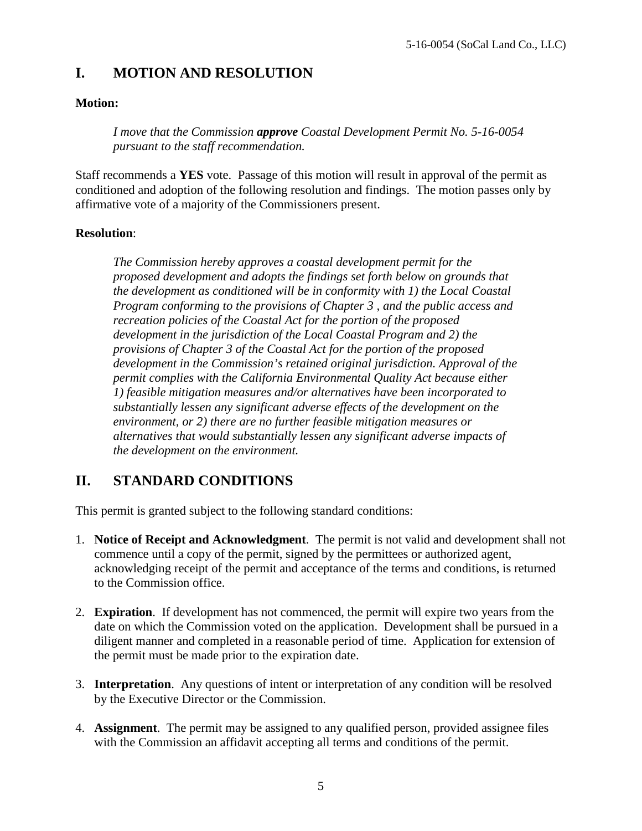## **I. MOTION AND RESOLUTION**

#### **Motion:**

*I move that the Commission approve Coastal Development Permit No. 5-16-0054 pursuant to the staff recommendation.* 

Staff recommends a **YES** vote. Passage of this motion will result in approval of the permit as conditioned and adoption of the following resolution and findings. The motion passes only by affirmative vote of a majority of the Commissioners present.

#### **Resolution**:

*The Commission hereby approves a coastal development permit for the proposed development and adopts the findings set forth below on grounds that the development as conditioned will be in conformity with 1) the Local Coastal Program conforming to the provisions of Chapter 3 , and the public access and recreation policies of the Coastal Act for the portion of the proposed development in the jurisdiction of the Local Coastal Program and 2) the provisions of Chapter 3 of the Coastal Act for the portion of the proposed development in the Commission's retained original jurisdiction. Approval of the permit complies with the California Environmental Quality Act because either 1) feasible mitigation measures and/or alternatives have been incorporated to substantially lessen any significant adverse effects of the development on the environment, or 2) there are no further feasible mitigation measures or alternatives that would substantially lessen any significant adverse impacts of the development on the environment.* 

## **II. STANDARD CONDITIONS**

This permit is granted subject to the following standard conditions:

- 1. **Notice of Receipt and Acknowledgment**. The permit is not valid and development shall not commence until a copy of the permit, signed by the permittees or authorized agent, acknowledging receipt of the permit and acceptance of the terms and conditions, is returned to the Commission office.
- 2. **Expiration**. If development has not commenced, the permit will expire two years from the date on which the Commission voted on the application. Development shall be pursued in a diligent manner and completed in a reasonable period of time. Application for extension of the permit must be made prior to the expiration date.
- 3. **Interpretation**. Any questions of intent or interpretation of any condition will be resolved by the Executive Director or the Commission.
- 4. **Assignment**. The permit may be assigned to any qualified person, provided assignee files with the Commission an affidavit accepting all terms and conditions of the permit.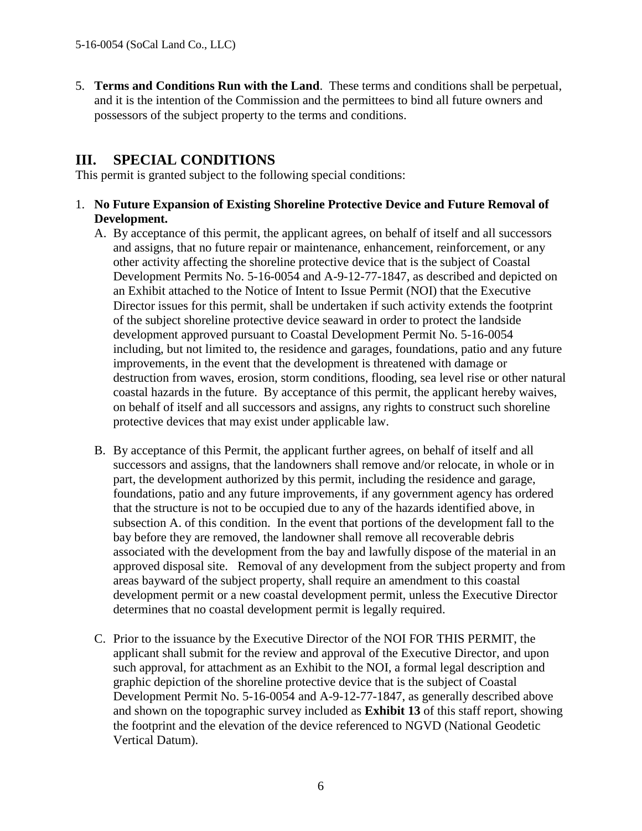5. **Terms and Conditions Run with the Land**. These terms and conditions shall be perpetual, and it is the intention of the Commission and the permittees to bind all future owners and possessors of the subject property to the terms and conditions.

## **III. SPECIAL CONDITIONS**

This permit is granted subject to the following special conditions:

- 1. **No Future Expansion of Existing Shoreline Protective Device and Future Removal of Development.**
	- A. By acceptance of this permit, the applicant agrees, on behalf of itself and all successors and assigns, that no future repair or maintenance, enhancement, reinforcement, or any other activity affecting the shoreline protective device that is the subject of Coastal Development Permits No. 5-16-0054 and A-9-12-77-1847, as described and depicted on an Exhibit attached to the Notice of Intent to Issue Permit (NOI) that the Executive Director issues for this permit, shall be undertaken if such activity extends the footprint of the subject shoreline protective device seaward in order to protect the landside development approved pursuant to Coastal Development Permit No. 5-16-0054 including, but not limited to, the residence and garages, foundations, patio and any future improvements, in the event that the development is threatened with damage or destruction from waves, erosion, storm conditions, flooding, sea level rise or other natural coastal hazards in the future. By acceptance of this permit, the applicant hereby waives, on behalf of itself and all successors and assigns, any rights to construct such shoreline protective devices that may exist under applicable law.
	- B. By acceptance of this Permit, the applicant further agrees, on behalf of itself and all successors and assigns, that the landowners shall remove and/or relocate, in whole or in part, the development authorized by this permit, including the residence and garage, foundations, patio and any future improvements, if any government agency has ordered that the structure is not to be occupied due to any of the hazards identified above, in subsection A. of this condition. In the event that portions of the development fall to the bay before they are removed, the landowner shall remove all recoverable debris associated with the development from the bay and lawfully dispose of the material in an approved disposal site. Removal of any development from the subject property and from areas bayward of the subject property, shall require an amendment to this coastal development permit or a new coastal development permit, unless the Executive Director determines that no coastal development permit is legally required.
	- C. Prior to the issuance by the Executive Director of the NOI FOR THIS PERMIT, the applicant shall submit for the review and approval of the Executive Director, and upon such approval, for attachment as an Exhibit to the NOI, a formal legal description and graphic depiction of the shoreline protective device that is the subject of Coastal Development Permit No. 5-16-0054 and A-9-12-77-1847, as generally described above and shown on the topographic survey included as **Exhibit 13** of this staff report, showing the footprint and the elevation of the device referenced to NGVD (National Geodetic Vertical Datum).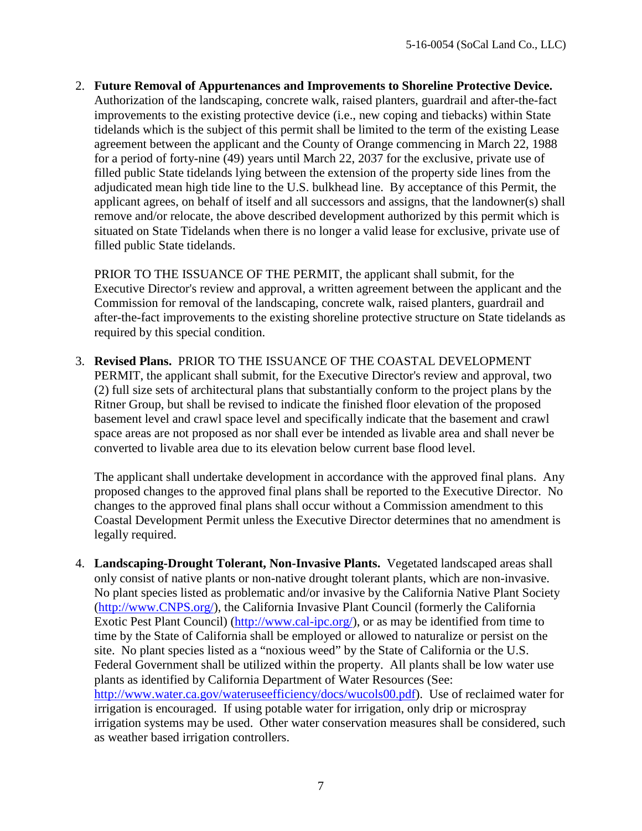2. **Future Removal of Appurtenances and Improvements to Shoreline Protective Device.**  Authorization of the landscaping, concrete walk, raised planters, guardrail and after-the-fact improvements to the existing protective device (i.e., new coping and tiebacks) within State tidelands which is the subject of this permit shall be limited to the term of the existing Lease agreement between the applicant and the County of Orange commencing in March 22, 1988 for a period of forty-nine (49) years until March 22, 2037 for the exclusive, private use of filled public State tidelands lying between the extension of the property side lines from the adjudicated mean high tide line to the U.S. bulkhead line. By acceptance of this Permit, the applicant agrees, on behalf of itself and all successors and assigns, that the landowner(s) shall remove and/or relocate, the above described development authorized by this permit which is situated on State Tidelands when there is no longer a valid lease for exclusive, private use of filled public State tidelands.

PRIOR TO THE ISSUANCE OF THE PERMIT, the applicant shall submit, for the Executive Director's review and approval, a written agreement between the applicant and the Commission for removal of the landscaping, concrete walk, raised planters, guardrail and after-the-fact improvements to the existing shoreline protective structure on State tidelands as required by this special condition.

3. **Revised Plans.** PRIOR TO THE ISSUANCE OF THE COASTAL DEVELOPMENT PERMIT, the applicant shall submit, for the Executive Director's review and approval, two (2) full size sets of architectural plans that substantially conform to the project plans by the Ritner Group, but shall be revised to indicate the finished floor elevation of the proposed basement level and crawl space level and specifically indicate that the basement and crawl space areas are not proposed as nor shall ever be intended as livable area and shall never be converted to livable area due to its elevation below current base flood level.

The applicant shall undertake development in accordance with the approved final plans. Any proposed changes to the approved final plans shall be reported to the Executive Director. No changes to the approved final plans shall occur without a Commission amendment to this Coastal Development Permit unless the Executive Director determines that no amendment is legally required.

4. **Landscaping-Drought Tolerant, Non-Invasive Plants.** Vegetated landscaped areas shall only consist of native plants or non-native drought tolerant plants, which are non-invasive. No plant species listed as problematic and/or invasive by the California Native Plant Society [\(http://www.CNPS.org/\)](http://www.cnps.org/), the California Invasive Plant Council (formerly the California Exotic Pest Plant Council) [\(http://www.cal-ipc.org/\)](http://www.cal-ipc.org/), or as may be identified from time to time by the State of California shall be employed or allowed to naturalize or persist on the site. No plant species listed as a "noxious weed" by the State of California or the U.S. Federal Government shall be utilized within the property. All plants shall be low water use plants as identified by California Department of Water Resources (See: [http://www.water.ca.gov/wateruseefficiency/docs/wucols00.pdf\)](http://www.water.ca.gov/wateruseefficiency/docs/wucols00.pdf). Use of reclaimed water for irrigation is encouraged. If using potable water for irrigation, only drip or microspray irrigation systems may be used. Other water conservation measures shall be considered, such as weather based irrigation controllers.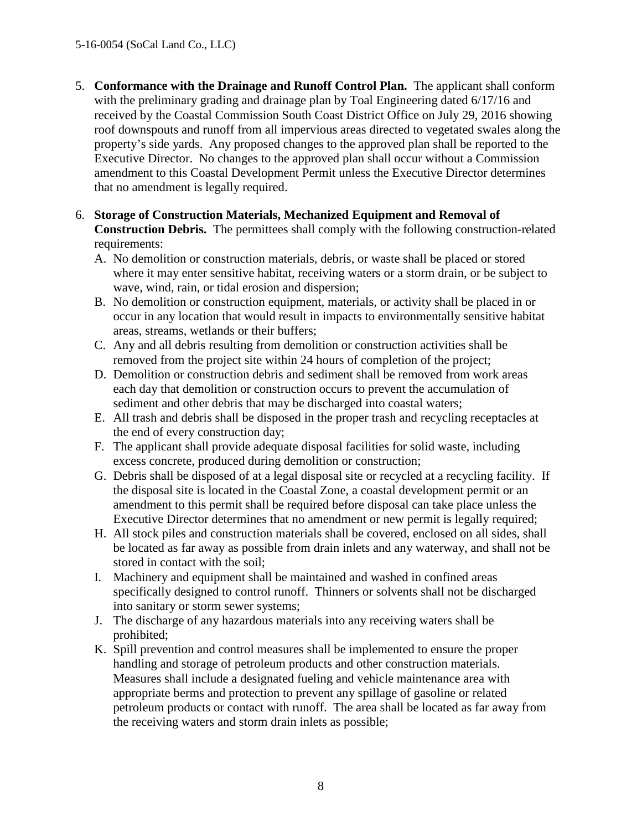- 5. **Conformance with the Drainage and Runoff Control Plan.** The applicant shall conform with the preliminary grading and drainage plan by Toal Engineering dated 6/17/16 and received by the Coastal Commission South Coast District Office on July 29, 2016 showing roof downspouts and runoff from all impervious areas directed to vegetated swales along the property's side yards. Any proposed changes to the approved plan shall be reported to the Executive Director. No changes to the approved plan shall occur without a Commission amendment to this Coastal Development Permit unless the Executive Director determines that no amendment is legally required.
- 6. **Storage of Construction Materials, Mechanized Equipment and Removal of Construction Debris.** The permittees shall comply with the following construction-related requirements:
	- A. No demolition or construction materials, debris, or waste shall be placed or stored where it may enter sensitive habitat, receiving waters or a storm drain, or be subject to wave, wind, rain, or tidal erosion and dispersion;
	- B. No demolition or construction equipment, materials, or activity shall be placed in or occur in any location that would result in impacts to environmentally sensitive habitat areas, streams, wetlands or their buffers;
	- C. Any and all debris resulting from demolition or construction activities shall be removed from the project site within 24 hours of completion of the project;
	- D. Demolition or construction debris and sediment shall be removed from work areas each day that demolition or construction occurs to prevent the accumulation of sediment and other debris that may be discharged into coastal waters;
	- E. All trash and debris shall be disposed in the proper trash and recycling receptacles at the end of every construction day;
	- F. The applicant shall provide adequate disposal facilities for solid waste, including excess concrete, produced during demolition or construction;
	- G. Debris shall be disposed of at a legal disposal site or recycled at a recycling facility. If the disposal site is located in the Coastal Zone, a coastal development permit or an amendment to this permit shall be required before disposal can take place unless the Executive Director determines that no amendment or new permit is legally required;
	- H. All stock piles and construction materials shall be covered, enclosed on all sides, shall be located as far away as possible from drain inlets and any waterway, and shall not be stored in contact with the soil;
	- I. Machinery and equipment shall be maintained and washed in confined areas specifically designed to control runoff. Thinners or solvents shall not be discharged into sanitary or storm sewer systems;
	- J. The discharge of any hazardous materials into any receiving waters shall be prohibited;
	- K. Spill prevention and control measures shall be implemented to ensure the proper handling and storage of petroleum products and other construction materials. Measures shall include a designated fueling and vehicle maintenance area with appropriate berms and protection to prevent any spillage of gasoline or related petroleum products or contact with runoff. The area shall be located as far away from the receiving waters and storm drain inlets as possible;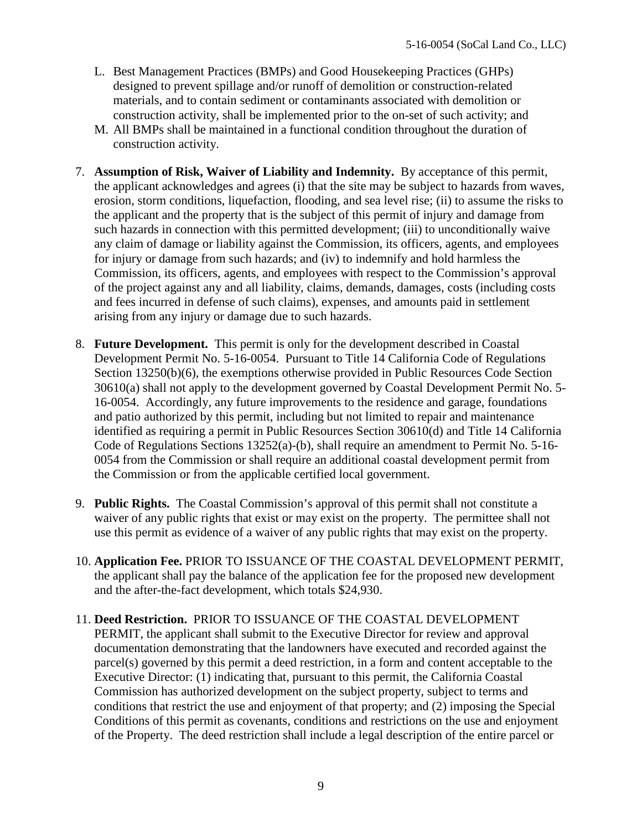- L. Best Management Practices (BMPs) and Good Housekeeping Practices (GHPs) designed to prevent spillage and/or runoff of demolition or construction-related materials, and to contain sediment or contaminants associated with demolition or construction activity, shall be implemented prior to the on-set of such activity; and
- M. All BMPs shall be maintained in a functional condition throughout the duration of construction activity.
- 7. **Assumption of Risk, Waiver of Liability and Indemnity.** By acceptance of this permit, the applicant acknowledges and agrees (i) that the site may be subject to hazards from waves, erosion, storm conditions, liquefaction, flooding, and sea level rise; (ii) to assume the risks to the applicant and the property that is the subject of this permit of injury and damage from such hazards in connection with this permitted development; (iii) to unconditionally waive any claim of damage or liability against the Commission, its officers, agents, and employees for injury or damage from such hazards; and (iv) to indemnify and hold harmless the Commission, its officers, agents, and employees with respect to the Commission's approval of the project against any and all liability, claims, demands, damages, costs (including costs and fees incurred in defense of such claims), expenses, and amounts paid in settlement arising from any injury or damage due to such hazards.
- 8. **Future Development.** This permit is only for the development described in Coastal Development Permit No. 5-16-0054. Pursuant to Title 14 California Code of Regulations Section 13250(b)(6), the exemptions otherwise provided in Public Resources Code Section 30610(a) shall not apply to the development governed by Coastal Development Permit No. 5- 16-0054. Accordingly, any future improvements to the residence and garage, foundations and patio authorized by this permit, including but not limited to repair and maintenance identified as requiring a permit in Public Resources Section 30610(d) and Title 14 California Code of Regulations Sections 13252(a)-(b), shall require an amendment to Permit No. 5-16- 0054 from the Commission or shall require an additional coastal development permit from the Commission or from the applicable certified local government.
- 9. **Public Rights.** The Coastal Commission's approval of this permit shall not constitute a waiver of any public rights that exist or may exist on the property. The permittee shall not use this permit as evidence of a waiver of any public rights that may exist on the property.
- 10. **Application Fee.** PRIOR TO ISSUANCE OF THE COASTAL DEVELOPMENT PERMIT, the applicant shall pay the balance of the application fee for the proposed new development and the after-the-fact development, which totals \$24,930.
- 11. **Deed Restriction.** PRIOR TO ISSUANCE OF THE COASTAL DEVELOPMENT PERMIT, the applicant shall submit to the Executive Director for review and approval documentation demonstrating that the landowners have executed and recorded against the parcel(s) governed by this permit a deed restriction, in a form and content acceptable to the Executive Director: (1) indicating that, pursuant to this permit, the California Coastal Commission has authorized development on the subject property, subject to terms and conditions that restrict the use and enjoyment of that property; and (2) imposing the Special Conditions of this permit as covenants, conditions and restrictions on the use and enjoyment of the Property. The deed restriction shall include a legal description of the entire parcel or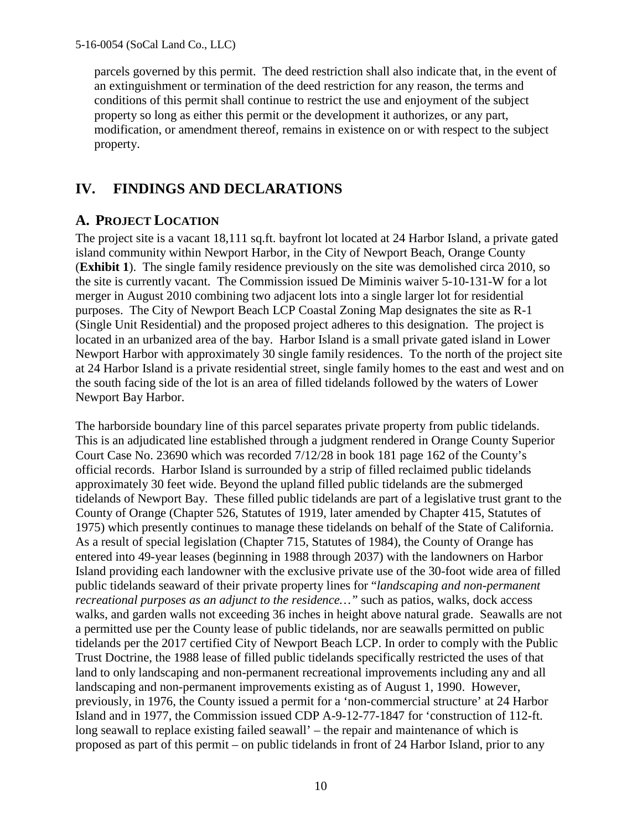parcels governed by this permit. The deed restriction shall also indicate that, in the event of an extinguishment or termination of the deed restriction for any reason, the terms and conditions of this permit shall continue to restrict the use and enjoyment of the subject property so long as either this permit or the development it authorizes, or any part, modification, or amendment thereof, remains in existence on or with respect to the subject property.

## **IV. FINDINGS AND DECLARATIONS**

## **A. PROJECT LOCATION**

The project site is a vacant 18,111 sq.ft. bayfront lot located at 24 Harbor Island, a private gated island community within Newport Harbor, in the City of Newport Beach, Orange County (**[Exhibit 1](https://documents.coastal.ca.gov/reports/2017/7/Th14a/Th14a-7-2017-exhibits.pdf)**). The single family residence previously on the site was demolished circa 2010, so the site is currently vacant. The Commission issued De Miminis waiver 5-10-131-W for a lot merger in August 2010 combining two adjacent lots into a single larger lot for residential purposes. The City of Newport Beach LCP Coastal Zoning Map designates the site as R-1 (Single Unit Residential) and the proposed project adheres to this designation. The project is located in an urbanized area of the bay. Harbor Island is a small private gated island in Lower Newport Harbor with approximately 30 single family residences. To the north of the project site at 24 Harbor Island is a private residential street, single family homes to the east and west and on the south facing side of the lot is an area of filled tidelands followed by the waters of Lower Newport Bay Harbor.

The harborside boundary line of this parcel separates private property from public tidelands. This is an adjudicated line established through a judgment rendered in Orange County Superior Court Case No. 23690 which was recorded 7/12/28 in book 181 page 162 of the County's official records. Harbor Island is surrounded by a strip of filled reclaimed public tidelands approximately 30 feet wide. Beyond the upland filled public tidelands are the submerged tidelands of Newport Bay. These filled public tidelands are part of a legislative trust grant to the County of Orange (Chapter 526, Statutes of 1919, later amended by Chapter 415, Statutes of 1975) which presently continues to manage these tidelands on behalf of the State of California. As a result of special legislation (Chapter 715, Statutes of 1984), the County of Orange has entered into 49-year leases (beginning in 1988 through 2037) with the landowners on Harbor Island providing each landowner with the exclusive private use of the 30-foot wide area of filled public tidelands seaward of their private property lines for "*landscaping and non-permanent recreational purposes as an adjunct to the residence…"* such as patios, walks, dock access walks, and garden walls not exceeding 36 inches in height above natural grade. Seawalls are not a permitted use per the County lease of public tidelands, nor are seawalls permitted on public tidelands per the 2017 certified City of Newport Beach LCP. In order to comply with the Public Trust Doctrine, the 1988 lease of filled public tidelands specifically restricted the uses of that land to only landscaping and non-permanent recreational improvements including any and all landscaping and non-permanent improvements existing as of August 1, 1990. However, previously, in 1976, the County issued a permit for a 'non-commercial structure' at 24 Harbor Island and in 1977, the Commission issued CDP A-9-12-77-1847 for 'construction of 112-ft. long seawall to replace existing failed seawall' – the repair and maintenance of which is proposed as part of this permit – on public tidelands in front of 24 Harbor Island, prior to any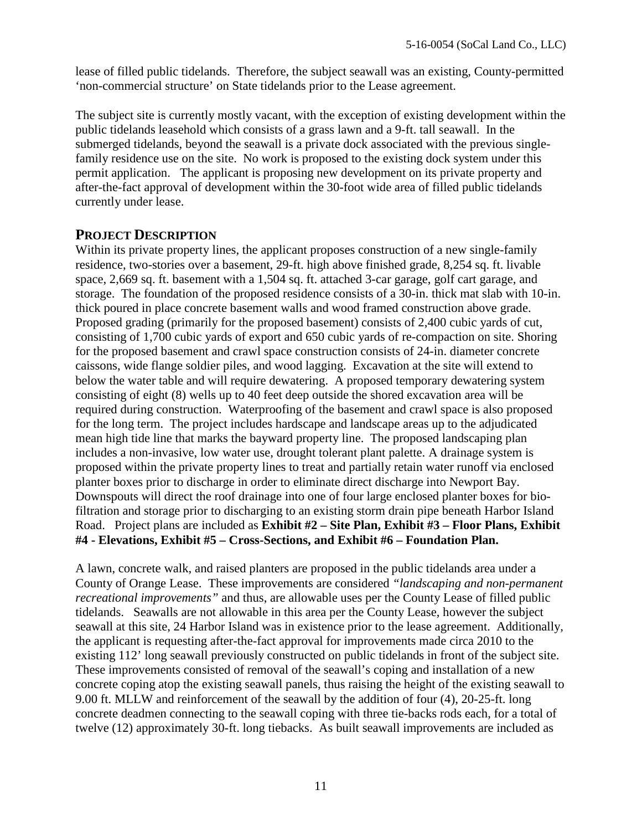lease of filled public tidelands. Therefore, the subject seawall was an existing, County-permitted 'non-commercial structure' on State tidelands prior to the Lease agreement.

The subject site is currently mostly vacant, with the exception of existing development within the public tidelands leasehold which consists of a grass lawn and a 9-ft. tall seawall. In the submerged tidelands, beyond the seawall is a private dock associated with the previous singlefamily residence use on the site. No work is proposed to the existing dock system under this permit application. The applicant is proposing new development on its private property and after-the-fact approval of development within the 30-foot wide area of filled public tidelands currently under lease.

#### **PROJECT DESCRIPTION**

Within its private property lines, the applicant proposes construction of a new single-family residence, two-stories over a basement, 29-ft. high above finished grade, 8,254 sq. ft. livable space, 2,669 sq. ft. basement with a 1,504 sq. ft. attached 3-car garage, golf cart garage, and storage. The foundation of the proposed residence consists of a 30-in. thick mat slab with 10-in. thick poured in place concrete basement walls and wood framed construction above grade. Proposed grading (primarily for the proposed basement) consists of 2,400 cubic yards of cut, consisting of 1,700 cubic yards of export and 650 cubic yards of re-compaction on site. Shoring for the proposed basement and crawl space construction consists of 24-in. diameter concrete caissons, wide flange soldier piles, and wood lagging. Excavation at the site will extend to below the water table and will require dewatering. A proposed temporary dewatering system consisting of eight (8) wells up to 40 feet deep outside the shored excavation area will be required during construction. Waterproofing of the basement and crawl space is also proposed for the long term. The project includes hardscape and landscape areas up to the adjudicated mean high tide line that marks the bayward property line. The proposed landscaping plan includes a non-invasive, low water use, drought tolerant plant palette. A drainage system is proposed within the private property lines to treat and partially retain water runoff via enclosed planter boxes prior to discharge in order to eliminate direct discharge into Newport Bay. Downspouts will direct the roof drainage into one of four large enclosed planter boxes for biofiltration and storage prior to discharging to an existing storm drain pipe beneath Harbor Island Road. Project plans are included as **Exhibit #2 – Site Plan, Exhibit #3 – Floor Plans, Exhibit [#4 - Elevations, Exhibit #5 – Cross-Sections, and Exhibit #6 – Foundation Plan.](https://documents.coastal.ca.gov/reports/2017/7/Th14a/Th14a-7-2017-exhibits.pdf)** 

A lawn, concrete walk, and raised planters are proposed in the public tidelands area under a County of Orange Lease. These improvements are considered *"landscaping and non-permanent recreational improvements"* and thus, are allowable uses per the County Lease of filled public tidelands. Seawalls are not allowable in this area per the County Lease, however the subject seawall at this site, 24 Harbor Island was in existence prior to the lease agreement. Additionally, the applicant is requesting after-the-fact approval for improvements made circa 2010 to the existing 112' long seawall previously constructed on public tidelands in front of the subject site. These improvements consisted of removal of the seawall's coping and installation of a new concrete coping atop the existing seawall panels, thus raising the height of the existing seawall to 9.00 ft. MLLW and reinforcement of the seawall by the addition of four (4), 20-25-ft. long concrete deadmen connecting to the seawall coping with three tie-backs rods each, for a total of twelve (12) approximately 30-ft. long tiebacks. As built seawall improvements are included as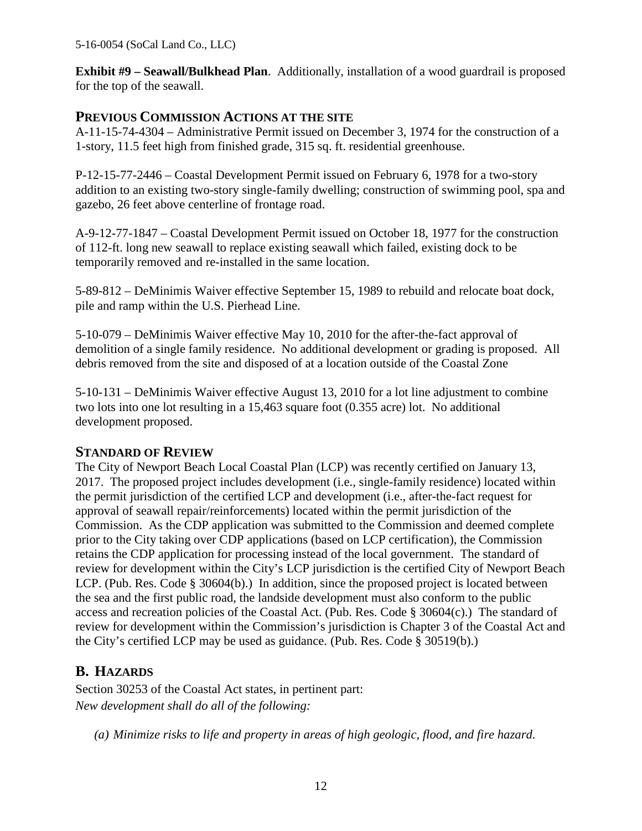**[Exhibit #9 – Seawall/Bulkhead Plan](https://documents.coastal.ca.gov/reports/2017/7/Th14a/Th14a-7-2017-exhibits.pdf)**. Additionally, installation of a wood guardrail is proposed for the top of the seawall.

#### **PREVIOUS COMMISSION ACTIONS AT THE SITE**

A-11-15-74-4304 – Administrative Permit issued on December 3, 1974 for the construction of a 1-story, 11.5 feet high from finished grade, 315 sq. ft. residential greenhouse.

P-12-15-77-2446 – Coastal Development Permit issued on February 6, 1978 for a two-story addition to an existing two-story single-family dwelling; construction of swimming pool, spa and gazebo, 26 feet above centerline of frontage road.

A-9-12-77-1847 – Coastal Development Permit issued on October 18, 1977 for the construction of 112-ft. long new seawall to replace existing seawall which failed, existing dock to be temporarily removed and re-installed in the same location.

5-89-812 – DeMinimis Waiver effective September 15, 1989 to rebuild and relocate boat dock, pile and ramp within the U.S. Pierhead Line.

5-10-079 – DeMinimis Waiver effective May 10, 2010 for the after-the-fact approval of demolition of a single family residence. No additional development or grading is proposed. All debris removed from the site and disposed of at a location outside of the Coastal Zone

5-10-131 – DeMinimis Waiver effective August 13, 2010 for a lot line adjustment to combine two lots into one lot resulting in a 15,463 square foot (0.355 acre) lot. No additional development proposed.

#### **STANDARD OF REVIEW**

The City of Newport Beach Local Coastal Plan (LCP) was recently certified on January 13, 2017. The proposed project includes development (i.e., single-family residence) located within the permit jurisdiction of the certified LCP and development (i.e., after-the-fact request for approval of seawall repair/reinforcements) located within the permit jurisdiction of the Commission. As the CDP application was submitted to the Commission and deemed complete prior to the City taking over CDP applications (based on LCP certification), the Commission retains the CDP application for processing instead of the local government. The standard of review for development within the City's LCP jurisdiction is the certified City of Newport Beach LCP. (Pub. Res. Code § 30604(b).) In addition, since the proposed project is located between the sea and the first public road, the landside development must also conform to the public access and recreation policies of the Coastal Act. (Pub. Res. Code § 30604(c).) The standard of review for development within the Commission's jurisdiction is Chapter 3 of the Coastal Act and the City's certified LCP may be used as guidance. (Pub. Res. Code § 30519(b).)

## **B. HAZARDS**

Section 30253 of the Coastal Act states, in pertinent part: *New development shall do all of the following:* 

*(a) Minimize risks to life and property in areas of high geologic, flood, and fire hazard.*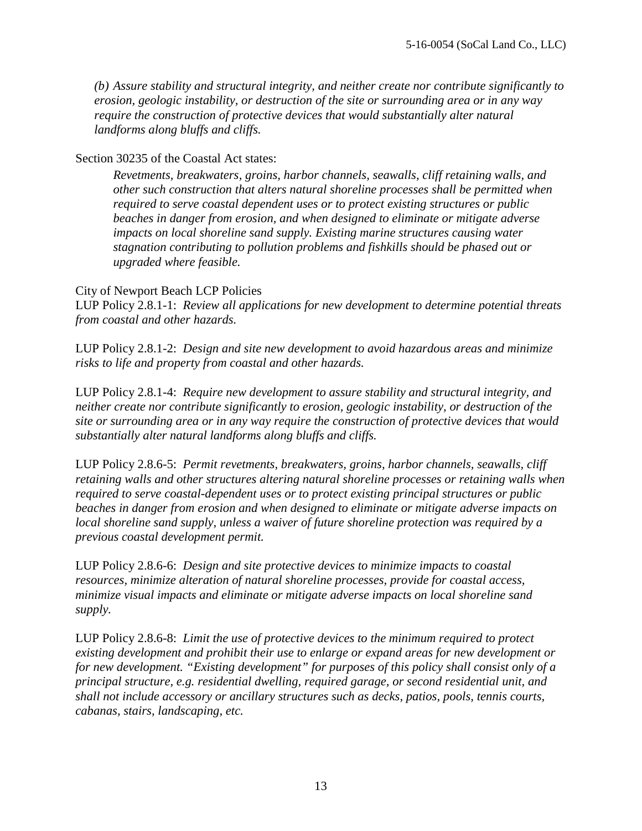*(b) Assure stability and structural integrity, and neither create nor contribute significantly to erosion, geologic instability, or destruction of the site or surrounding area or in any way require the construction of protective devices that would substantially alter natural landforms along bluffs and cliffs.* 

#### Section 30235 of the Coastal Act states:

*Revetments, breakwaters, groins, harbor channels, seawalls, cliff retaining walls, and other such construction that alters natural shoreline processes shall be permitted when required to serve coastal dependent uses or to protect existing structures or public beaches in danger from erosion, and when designed to eliminate or mitigate adverse impacts on local shoreline sand supply. Existing marine structures causing water stagnation contributing to pollution problems and fishkills should be phased out or upgraded where feasible.* 

#### City of Newport Beach LCP Policies

LUP Policy 2.8.1-1: *Review all applications for new development to determine potential threats from coastal and other hazards.*

LUP Policy 2.8.1-2: *Design and site new development to avoid hazardous areas and minimize risks to life and property from coastal and other hazards.*

LUP Policy 2.8.1-4: *Require new development to assure stability and structural integrity, and neither create nor contribute significantly to erosion, geologic instability, or destruction of the site or surrounding area or in any way require the construction of protective devices that would substantially alter natural landforms along bluffs and cliffs.*

LUP Policy 2.8.6-5: *Permit revetments, breakwaters, groins, harbor channels, seawalls, cliff retaining walls and other structures altering natural shoreline processes or retaining walls when required to serve coastal-dependent uses or to protect existing principal structures or public beaches in danger from erosion and when designed to eliminate or mitigate adverse impacts on local shoreline sand supply, unless a waiver of future shoreline protection was required by a previous coastal development permit.*

LUP Policy 2.8.6-6: *Design and site protective devices to minimize impacts to coastal resources, minimize alteration of natural shoreline processes, provide for coastal access, minimize visual impacts and eliminate or mitigate adverse impacts on local shoreline sand supply.*

LUP Policy 2.8.6-8: *Limit the use of protective devices to the minimum required to protect existing development and prohibit their use to enlarge or expand areas for new development or for new development. "Existing development" for purposes of this policy shall consist only of a principal structure, e.g. residential dwelling, required garage, or second residential unit, and shall not include accessory or ancillary structures such as decks, patios, pools, tennis courts, cabanas, stairs, landscaping, etc.*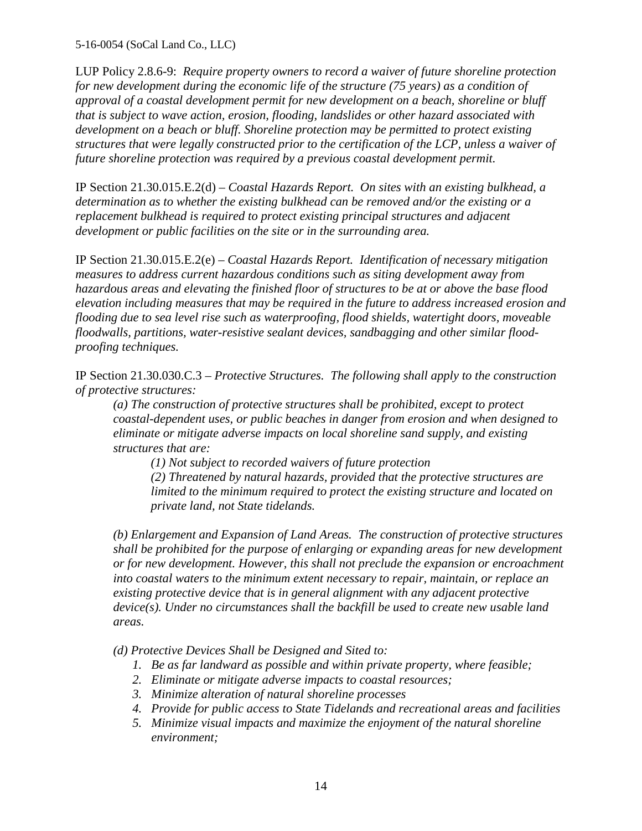LUP Policy 2.8.6-9: *Require property owners to record a waiver of future shoreline protection for new development during the economic life of the structure (75 years) as a condition of approval of a coastal development permit for new development on a beach, shoreline or bluff that is subject to wave action, erosion, flooding, landslides or other hazard associated with development on a beach or bluff. Shoreline protection may be permitted to protect existing structures that were legally constructed prior to the certification of the LCP, unless a waiver of future shoreline protection was required by a previous coastal development permit.*

IP Section 21.30.015.E.2(d) *– Coastal Hazards Report. On sites with an existing bulkhead, a determination as to whether the existing bulkhead can be removed and/or the existing or a replacement bulkhead is required to protect existing principal structures and adjacent development or public facilities on the site or in the surrounding area.* 

IP Section 21.30.015.E.2(e) *– Coastal Hazards Report. Identification of necessary mitigation measures to address current hazardous conditions such as siting development away from hazardous areas and elevating the finished floor of structures to be at or above the base flood elevation including measures that may be required in the future to address increased erosion and flooding due to sea level rise such as waterproofing, flood shields, watertight doors, moveable floodwalls, partitions, water-resistive sealant devices, sandbagging and other similar floodproofing techniques.* 

IP Section 21.30.030.C.3 – *Protective Structures. The following shall apply to the construction of protective structures:*

*(a) The construction of protective structures shall be prohibited, except to protect coastal-dependent uses, or public beaches in danger from erosion and when designed to eliminate or mitigate adverse impacts on local shoreline sand supply, and existing structures that are:* 

 *(1) Not subject to recorded waivers of future protection* 

*(2) Threatened by natural hazards, provided that the protective structures are limited to the minimum required to protect the existing structure and located on private land, not State tidelands.* 

*(b) Enlargement and Expansion of Land Areas. The construction of protective structures shall be prohibited for the purpose of enlarging or expanding areas for new development or for new development. However, this shall not preclude the expansion or encroachment into coastal waters to the minimum extent necessary to repair, maintain, or replace an existing protective device that is in general alignment with any adjacent protective device(s). Under no circumstances shall the backfill be used to create new usable land areas.*

*(d) Protective Devices Shall be Designed and Sited to:*

- *1. Be as far landward as possible and within private property, where feasible;*
- *2. Eliminate or mitigate adverse impacts to coastal resources;*
- *3. Minimize alteration of natural shoreline processes*
- *4. Provide for public access to State Tidelands and recreational areas and facilities*
- *5. Minimize visual impacts and maximize the enjoyment of the natural shoreline environment;*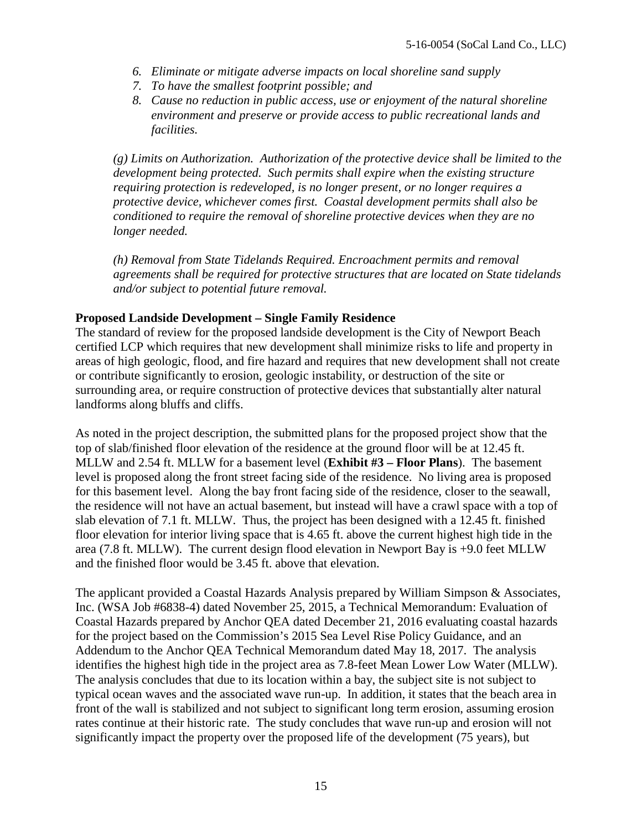- *6. Eliminate or mitigate adverse impacts on local shoreline sand supply*
- *7. To have the smallest footprint possible; and*
- *8. Cause no reduction in public access, use or enjoyment of the natural shoreline environment and preserve or provide access to public recreational lands and facilities.*

*(g) Limits on Authorization. Authorization of the protective device shall be limited to the development being protected. Such permits shall expire when the existing structure requiring protection is redeveloped, is no longer present, or no longer requires a protective device, whichever comes first. Coastal development permits shall also be conditioned to require the removal of shoreline protective devices when they are no longer needed.* 

*(h) Removal from State Tidelands Required. Encroachment permits and removal agreements shall be required for protective structures that are located on State tidelands and/or subject to potential future removal.* 

#### **Proposed Landside Development – Single Family Residence**

The standard of review for the proposed landside development is the City of Newport Beach certified LCP which requires that new development shall minimize risks to life and property in areas of high geologic, flood, and fire hazard and requires that new development shall not create or contribute significantly to erosion, geologic instability, or destruction of the site or surrounding area, or require construction of protective devices that substantially alter natural landforms along bluffs and cliffs.

As noted in the project description, the submitted plans for the proposed project show that the top of slab/finished floor elevation of the residence at the ground floor will be at 12.45 ft. MLLW and 2.54 ft. MLLW for a basement level (**[Exhibit #3 – Floor Plans](https://documents.coastal.ca.gov/reports/2017/7/Th14a/Th14a-7-2017-exhibits.pdf)**). The basement level is proposed along the front street facing side of the residence. No living area is proposed for this basement level. Along the bay front facing side of the residence, closer to the seawall, the residence will not have an actual basement, but instead will have a crawl space with a top of slab elevation of 7.1 ft. MLLW. Thus, the project has been designed with a 12.45 ft. finished floor elevation for interior living space that is 4.65 ft. above the current highest high tide in the area (7.8 ft. MLLW). The current design flood elevation in Newport Bay is +9.0 feet MLLW and the finished floor would be 3.45 ft. above that elevation.

The applicant provided a Coastal Hazards Analysis prepared by William Simpson & Associates, Inc. (WSA Job #6838-4) dated November 25, 2015, a Technical Memorandum: Evaluation of Coastal Hazards prepared by Anchor QEA dated December 21, 2016 evaluating coastal hazards for the project based on the Commission's 2015 Sea Level Rise Policy Guidance, and an Addendum to the Anchor QEA Technical Memorandum dated May 18, 2017. The analysis identifies the highest high tide in the project area as 7.8-feet Mean Lower Low Water (MLLW). The analysis concludes that due to its location within a bay, the subject site is not subject to typical ocean waves and the associated wave run-up. In addition, it states that the beach area in front of the wall is stabilized and not subject to significant long term erosion, assuming erosion rates continue at their historic rate. The study concludes that wave run-up and erosion will not significantly impact the property over the proposed life of the development (75 years), but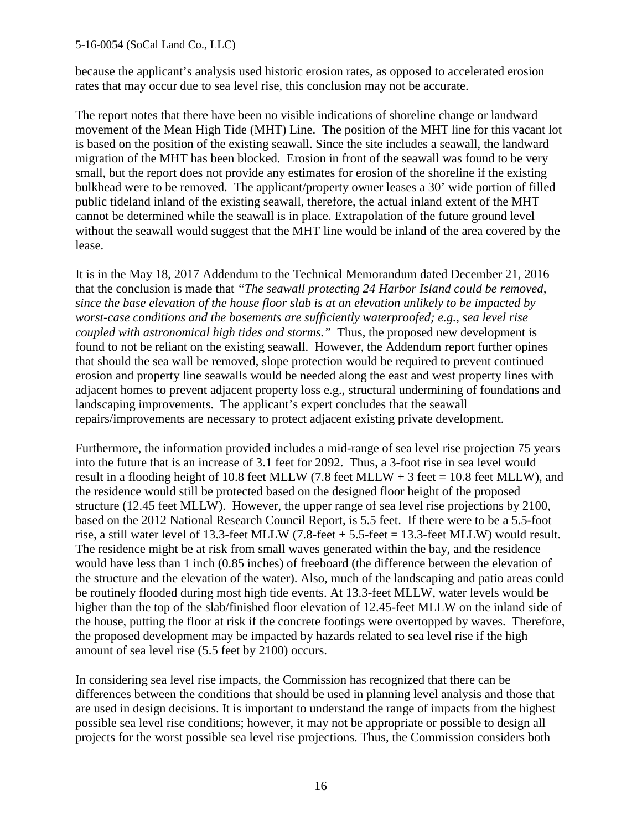because the applicant's analysis used historic erosion rates, as opposed to accelerated erosion rates that may occur due to sea level rise, this conclusion may not be accurate.

The report notes that there have been no visible indications of shoreline change or landward movement of the Mean High Tide (MHT) Line. The position of the MHT line for this vacant lot is based on the position of the existing seawall. Since the site includes a seawall, the landward migration of the MHT has been blocked. Erosion in front of the seawall was found to be very small, but the report does not provide any estimates for erosion of the shoreline if the existing bulkhead were to be removed. The applicant/property owner leases a 30' wide portion of filled public tideland inland of the existing seawall, therefore, the actual inland extent of the MHT cannot be determined while the seawall is in place. Extrapolation of the future ground level without the seawall would suggest that the MHT line would be inland of the area covered by the lease.

It is in the May 18, 2017 Addendum to the Technical Memorandum dated December 21, 2016 that the conclusion is made that *"The seawall protecting 24 Harbor Island could be removed, since the base elevation of the house floor slab is at an elevation unlikely to be impacted by worst-case conditions and the basements are sufficiently waterproofed; e.g., sea level rise coupled with astronomical high tides and storms."* Thus, the proposed new development is found to not be reliant on the existing seawall. However, the Addendum report further opines that should the sea wall be removed, slope protection would be required to prevent continued erosion and property line seawalls would be needed along the east and west property lines with adjacent homes to prevent adjacent property loss e.g., structural undermining of foundations and landscaping improvements. The applicant's expert concludes that the seawall repairs/improvements are necessary to protect adjacent existing private development.

Furthermore, the information provided includes a mid-range of sea level rise projection 75 years into the future that is an increase of 3.1 feet for 2092. Thus, a 3-foot rise in sea level would result in a flooding height of 10.8 feet MLLW (7.8 feet MLLW + 3 feet = 10.8 feet MLLW), and the residence would still be protected based on the designed floor height of the proposed structure (12.45 feet MLLW). However, the upper range of sea level rise projections by 2100, based on the 2012 National Research Council Report, is 5.5 feet. If there were to be a 5.5-foot rise, a still water level of 13.3-feet MLLW  $(7.8$ -feet  $+ 5.5$ -feet = 13.3-feet MLLW) would result. The residence might be at risk from small waves generated within the bay, and the residence would have less than 1 inch (0.85 inches) of freeboard (the difference between the elevation of the structure and the elevation of the water). Also, much of the landscaping and patio areas could be routinely flooded during most high tide events. At 13.3-feet MLLW, water levels would be higher than the top of the slab/finished floor elevation of 12.45-feet MLLW on the inland side of the house, putting the floor at risk if the concrete footings were overtopped by waves. Therefore, the proposed development may be impacted by hazards related to sea level rise if the high amount of sea level rise (5.5 feet by 2100) occurs.

In considering sea level rise impacts, the Commission has recognized that there can be differences between the conditions that should be used in planning level analysis and those that are used in design decisions. It is important to understand the range of impacts from the highest possible sea level rise conditions; however, it may not be appropriate or possible to design all projects for the worst possible sea level rise projections. Thus, the Commission considers both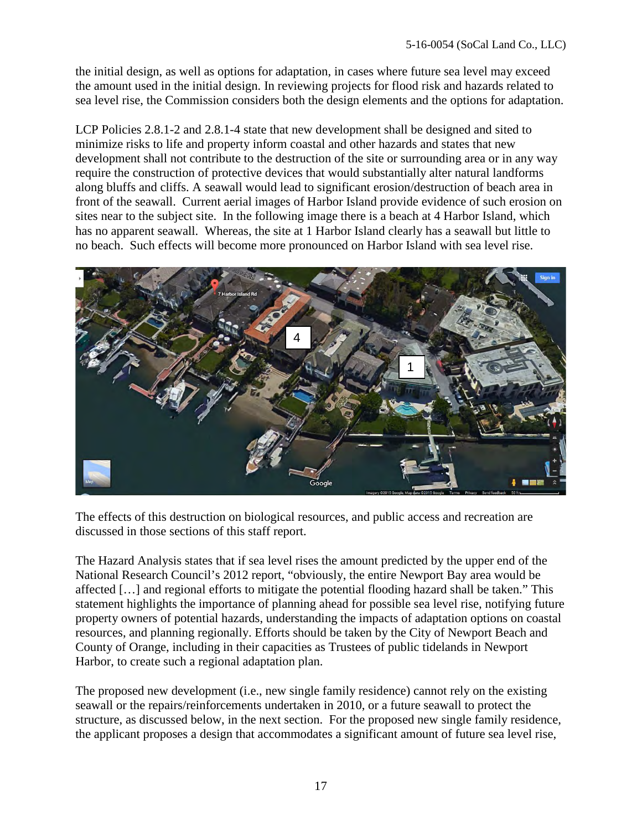the initial design, as well as options for adaptation, in cases where future sea level may exceed the amount used in the initial design. In reviewing projects for flood risk and hazards related to sea level rise, the Commission considers both the design elements and the options for adaptation.

LCP Policies 2.8.1-2 and 2.8.1-4 state that new development shall be designed and sited to minimize risks to life and property inform coastal and other hazards and states that new development shall not contribute to the destruction of the site or surrounding area or in any way require the construction of protective devices that would substantially alter natural landforms along bluffs and cliffs. A seawall would lead to significant erosion/destruction of beach area in front of the seawall. Current aerial images of Harbor Island provide evidence of such erosion on sites near to the subject site. In the following image there is a beach at 4 Harbor Island, which has no apparent seawall. Whereas, the site at 1 Harbor Island clearly has a seawall but little to no beach. Such effects will become more pronounced on Harbor Island with sea level rise.



The effects of this destruction on biological resources, and public access and recreation are discussed in those sections of this staff report.

The Hazard Analysis states that if sea level rises the amount predicted by the upper end of the National Research Council's 2012 report, "obviously, the entire Newport Bay area would be affected […] and regional efforts to mitigate the potential flooding hazard shall be taken." This statement highlights the importance of planning ahead for possible sea level rise, notifying future property owners of potential hazards, understanding the impacts of adaptation options on coastal resources, and planning regionally. Efforts should be taken by the City of Newport Beach and County of Orange, including in their capacities as Trustees of public tidelands in Newport Harbor, to create such a regional adaptation plan.

The proposed new development (i.e., new single family residence) cannot rely on the existing seawall or the repairs/reinforcements undertaken in 2010, or a future seawall to protect the structure, as discussed below, in the next section. For the proposed new single family residence, the applicant proposes a design that accommodates a significant amount of future sea level rise,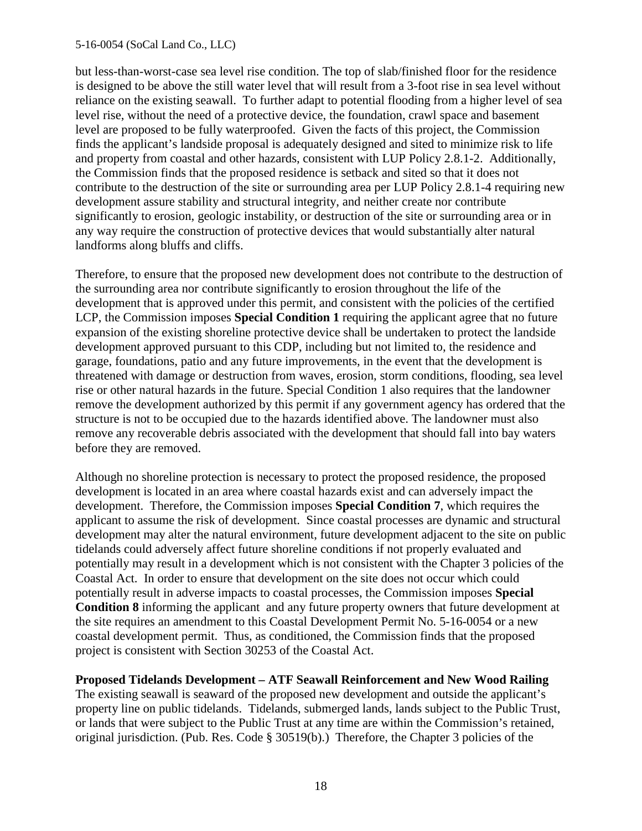but less-than-worst-case sea level rise condition. The top of slab/finished floor for the residence is designed to be above the still water level that will result from a 3-foot rise in sea level without reliance on the existing seawall. To further adapt to potential flooding from a higher level of sea level rise, without the need of a protective device, the foundation, crawl space and basement level are proposed to be fully waterproofed. Given the facts of this project, the Commission finds the applicant's landside proposal is adequately designed and sited to minimize risk to life and property from coastal and other hazards, consistent with LUP Policy 2.8.1-2. Additionally, the Commission finds that the proposed residence is setback and sited so that it does not contribute to the destruction of the site or surrounding area per LUP Policy 2.8.1-4 requiring new development assure stability and structural integrity, and neither create nor contribute significantly to erosion, geologic instability, or destruction of the site or surrounding area or in any way require the construction of protective devices that would substantially alter natural landforms along bluffs and cliffs.

Therefore, to ensure that the proposed new development does not contribute to the destruction of the surrounding area nor contribute significantly to erosion throughout the life of the development that is approved under this permit, and consistent with the policies of the certified LCP, the Commission imposes **Special Condition 1** requiring the applicant agree that no future expansion of the existing shoreline protective device shall be undertaken to protect the landside development approved pursuant to this CDP, including but not limited to, the residence and garage, foundations, patio and any future improvements, in the event that the development is threatened with damage or destruction from waves, erosion, storm conditions, flooding, sea level rise or other natural hazards in the future. Special Condition 1 also requires that the landowner remove the development authorized by this permit if any government agency has ordered that the structure is not to be occupied due to the hazards identified above. The landowner must also remove any recoverable debris associated with the development that should fall into bay waters before they are removed.

Although no shoreline protection is necessary to protect the proposed residence, the proposed development is located in an area where coastal hazards exist and can adversely impact the development. Therefore, the Commission imposes **Special Condition 7**, which requires the applicant to assume the risk of development. Since coastal processes are dynamic and structural development may alter the natural environment, future development adjacent to the site on public tidelands could adversely affect future shoreline conditions if not properly evaluated and potentially may result in a development which is not consistent with the Chapter 3 policies of the Coastal Act. In order to ensure that development on the site does not occur which could potentially result in adverse impacts to coastal processes, the Commission imposes **Special Condition 8** informing the applicant and any future property owners that future development at the site requires an amendment to this Coastal Development Permit No. 5-16-0054 or a new coastal development permit. Thus, as conditioned, the Commission finds that the proposed project is consistent with Section 30253 of the Coastal Act.

#### **Proposed Tidelands Development – ATF Seawall Reinforcement and New Wood Railing**

The existing seawall is seaward of the proposed new development and outside the applicant's property line on public tidelands. Tidelands, submerged lands, lands subject to the Public Trust, or lands that were subject to the Public Trust at any time are within the Commission's retained, original jurisdiction. (Pub. Res. Code § 30519(b).) Therefore, the Chapter 3 policies of the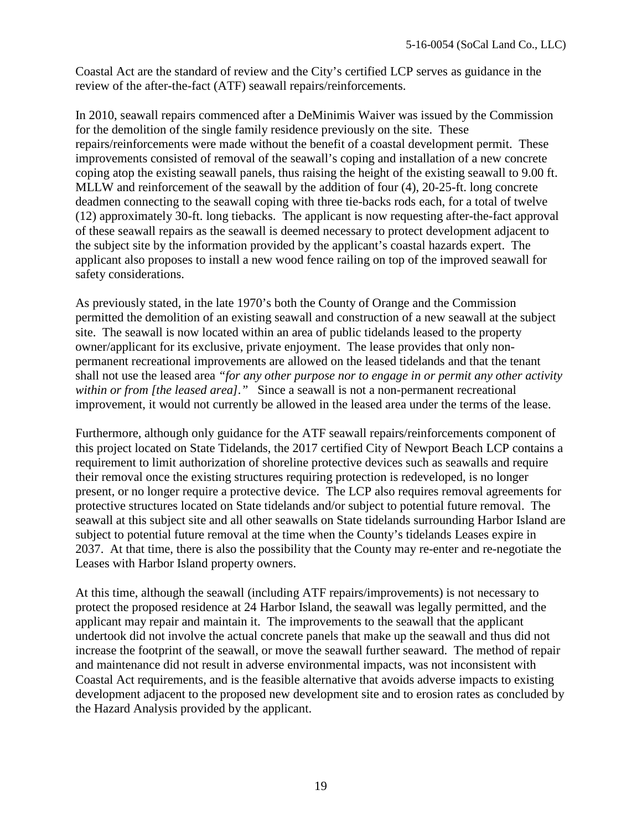Coastal Act are the standard of review and the City's certified LCP serves as guidance in the review of the after-the-fact (ATF) seawall repairs/reinforcements.

In 2010, seawall repairs commenced after a DeMinimis Waiver was issued by the Commission for the demolition of the single family residence previously on the site. These repairs/reinforcements were made without the benefit of a coastal development permit. These improvements consisted of removal of the seawall's coping and installation of a new concrete coping atop the existing seawall panels, thus raising the height of the existing seawall to 9.00 ft. MLLW and reinforcement of the seawall by the addition of four (4), 20-25-ft. long concrete deadmen connecting to the seawall coping with three tie-backs rods each, for a total of twelve (12) approximately 30-ft. long tiebacks. The applicant is now requesting after-the-fact approval of these seawall repairs as the seawall is deemed necessary to protect development adjacent to the subject site by the information provided by the applicant's coastal hazards expert. The applicant also proposes to install a new wood fence railing on top of the improved seawall for safety considerations.

As previously stated, in the late 1970's both the County of Orange and the Commission permitted the demolition of an existing seawall and construction of a new seawall at the subject site. The seawall is now located within an area of public tidelands leased to the property owner/applicant for its exclusive, private enjoyment. The lease provides that only nonpermanent recreational improvements are allowed on the leased tidelands and that the tenant shall not use the leased area *"for any other purpose nor to engage in or permit any other activity within or from [the leased area]."* Since a seawall is not a non-permanent recreational improvement, it would not currently be allowed in the leased area under the terms of the lease.

Furthermore, although only guidance for the ATF seawall repairs/reinforcements component of this project located on State Tidelands, the 2017 certified City of Newport Beach LCP contains a requirement to limit authorization of shoreline protective devices such as seawalls and require their removal once the existing structures requiring protection is redeveloped, is no longer present, or no longer require a protective device. The LCP also requires removal agreements for protective structures located on State tidelands and/or subject to potential future removal. The seawall at this subject site and all other seawalls on State tidelands surrounding Harbor Island are subject to potential future removal at the time when the County's tidelands Leases expire in 2037. At that time, there is also the possibility that the County may re-enter and re-negotiate the Leases with Harbor Island property owners.

At this time, although the seawall (including ATF repairs/improvements) is not necessary to protect the proposed residence at 24 Harbor Island, the seawall was legally permitted, and the applicant may repair and maintain it. The improvements to the seawall that the applicant undertook did not involve the actual concrete panels that make up the seawall and thus did not increase the footprint of the seawall, or move the seawall further seaward. The method of repair and maintenance did not result in adverse environmental impacts, was not inconsistent with Coastal Act requirements, and is the feasible alternative that avoids adverse impacts to existing development adjacent to the proposed new development site and to erosion rates as concluded by the Hazard Analysis provided by the applicant.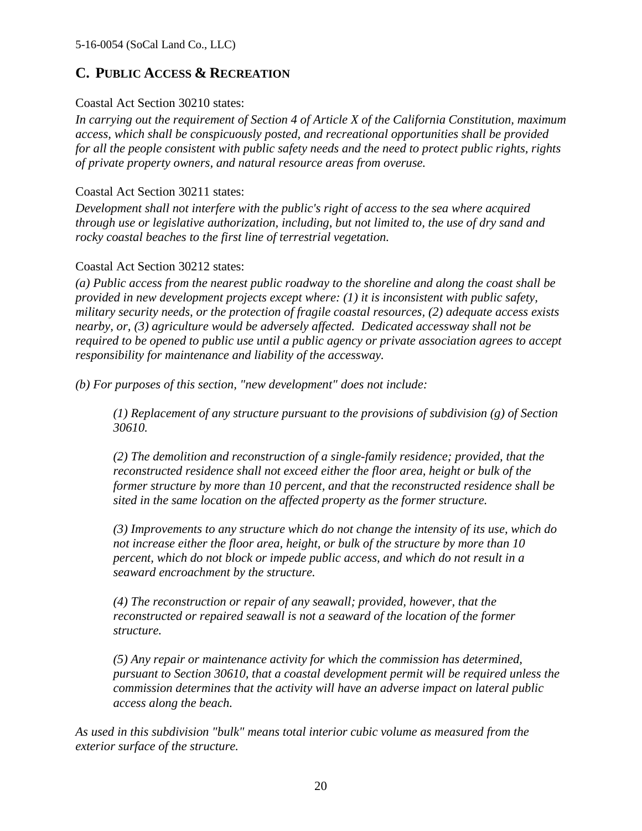## **C. PUBLIC ACCESS & RECREATION**

#### Coastal Act Section 30210 states:

*In carrying out the requirement of Section 4 of Article X of the California Constitution, maximum access, which shall be conspicuously posted, and recreational opportunities shall be provided for all the people consistent with public safety needs and the need to protect public rights, rights of private property owners, and natural resource areas from overuse.* 

#### Coastal Act Section 30211 states:

*Development shall not interfere with the public's right of access to the sea where acquired through use or legislative authorization, including, but not limited to, the use of dry sand and rocky coastal beaches to the first line of terrestrial vegetation.*

#### Coastal Act Section 30212 states:

*(a) Public access from the nearest public roadway to the shoreline and along the coast shall be provided in new development projects except where: (1) it is inconsistent with public safety, military security needs, or the protection of fragile coastal resources, (2) adequate access exists nearby, or, (3) agriculture would be adversely affected. Dedicated accessway shall not be required to be opened to public use until a public agency or private association agrees to accept responsibility for maintenance and liability of the accessway.* 

*(b) For purposes of this section, "new development" does not include:* 

*(1) Replacement of any structure pursuant to the provisions of subdivision (g) of Section 30610.* 

*(2) The demolition and reconstruction of a single-family residence; provided, that the reconstructed residence shall not exceed either the floor area, height or bulk of the former structure by more than 10 percent, and that the reconstructed residence shall be sited in the same location on the affected property as the former structure.*

*(3) Improvements to any structure which do not change the intensity of its use, which do not increase either the floor area, height, or bulk of the structure by more than 10 percent, which do not block or impede public access, and which do not result in a seaward encroachment by the structure.* 

*(4) The reconstruction or repair of any seawall; provided, however, that the reconstructed or repaired seawall is not a seaward of the location of the former structure.*

*(5) Any repair or maintenance activity for which the commission has determined, pursuant to Section 30610, that a coastal development permit will be required unless the commission determines that the activity will have an adverse impact on lateral public access along the beach.*

*As used in this subdivision "bulk" means total interior cubic volume as measured from the exterior surface of the structure.*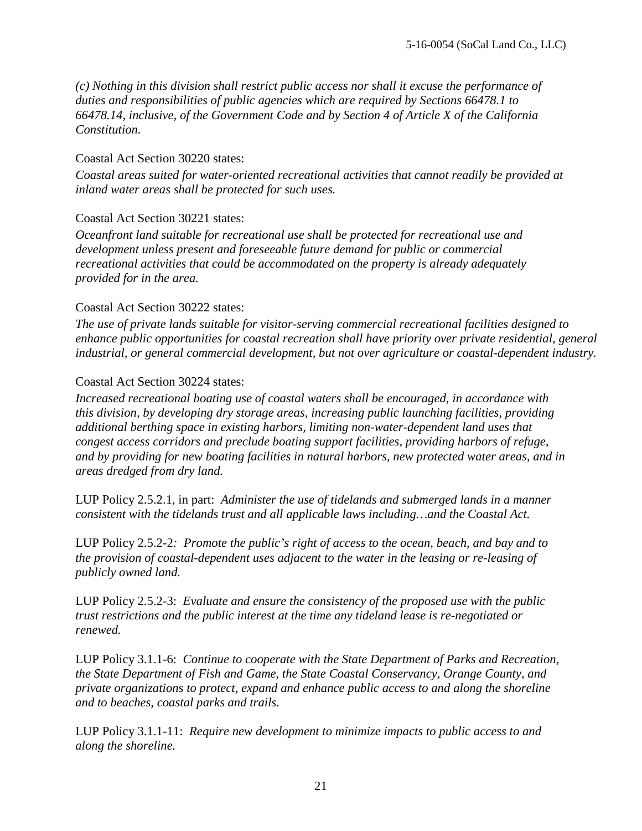*(c) Nothing in this division shall restrict public access nor shall it excuse the performance of duties and responsibilities of public agencies which are required by Sections 66478.1 to 66478.14, inclusive, of the Government Code and by Section 4 of Article X of the California Constitution.* 

#### Coastal Act Section 30220 states:

*Coastal areas suited for water-oriented recreational activities that cannot readily be provided at inland water areas shall be protected for such uses.* 

#### Coastal Act Section 30221 states:

*Oceanfront land suitable for recreational use shall be protected for recreational use and development unless present and foreseeable future demand for public or commercial recreational activities that could be accommodated on the property is already adequately provided for in the area.* 

#### Coastal Act Section 30222 states:

*The use of private lands suitable for visitor-serving commercial recreational facilities designed to enhance public opportunities for coastal recreation shall have priority over private residential, general industrial, or general commercial development, but not over agriculture or coastal-dependent industry.* 

#### Coastal Act Section 30224 states:

*Increased recreational boating use of coastal waters shall be encouraged, in accordance with this division, by developing dry storage areas, increasing public launching facilities, providing additional berthing space in existing harbors, limiting non-water-dependent land uses that congest access corridors and preclude boating support facilities, providing harbors of refuge, and by providing for new boating facilities in natural harbors, new protected water areas, and in areas dredged from dry land.* 

LUP Policy 2.5.2.1, in part: *Administer the use of tidelands and submerged lands in a manner consistent with the tidelands trust and all applicable laws including…and the Coastal Act.* 

LUP Policy 2.5.2-2*: Promote the public's right of access to the ocean, beach, and bay and to the provision of coastal-dependent uses adjacent to the water in the leasing or re-leasing of publicly owned land.* 

LUP Policy 2.5.2-3: *Evaluate and ensure the consistency of the proposed use with the public trust restrictions and the public interest at the time any tideland lease is re-negotiated or renewed.* 

LUP Policy 3.1.1-6: *Continue to cooperate with the State Department of Parks and Recreation, the State Department of Fish and Game, the State Coastal Conservancy, Orange County, and private organizations to protect, expand and enhance public access to and along the shoreline and to beaches, coastal parks and trails.* 

LUP Policy 3.1.1-11: *Require new development to minimize impacts to public access to and along the shoreline.*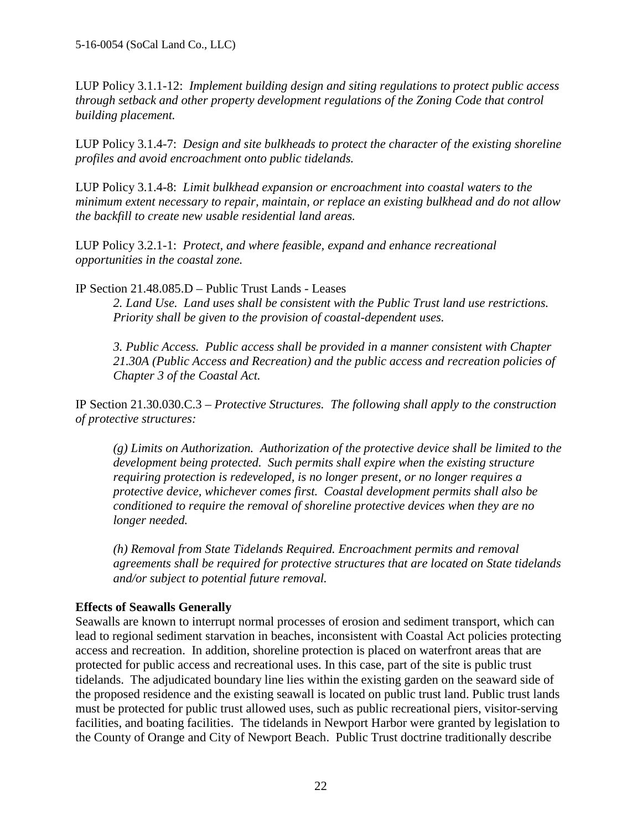LUP Policy 3.1.1-12: *Implement building design and siting regulations to protect public access through setback and other property development regulations of the Zoning Code that control building placement.* 

LUP Policy 3.1.4-7: *Design and site bulkheads to protect the character of the existing shoreline profiles and avoid encroachment onto public tidelands.* 

LUP Policy 3.1.4-8: *Limit bulkhead expansion or encroachment into coastal waters to the minimum extent necessary to repair, maintain, or replace an existing bulkhead and do not allow the backfill to create new usable residential land areas.* 

LUP Policy 3.2.1-1: *Protect, and where feasible, expand and enhance recreational opportunities in the coastal zone.* 

IP Section 21.48.085.D – Public Trust Lands - Leases

*2. Land Use. Land uses shall be consistent with the Public Trust land use restrictions. Priority shall be given to the provision of coastal-dependent uses.* 

*3. Public Access. Public access shall be provided in a manner consistent with Chapter 21.30A (Public Access and Recreation) and the public access and recreation policies of Chapter 3 of the Coastal Act.*

IP Section 21.30.030.C.3 – *Protective Structures. The following shall apply to the construction of protective structures:*

*(g) Limits on Authorization. Authorization of the protective device shall be limited to the development being protected. Such permits shall expire when the existing structure requiring protection is redeveloped, is no longer present, or no longer requires a protective device, whichever comes first. Coastal development permits shall also be conditioned to require the removal of shoreline protective devices when they are no longer needed.* 

*(h) Removal from State Tidelands Required. Encroachment permits and removal agreements shall be required for protective structures that are located on State tidelands and/or subject to potential future removal.* 

#### **Effects of Seawalls Generally**

Seawalls are known to interrupt normal processes of erosion and sediment transport, which can lead to regional sediment starvation in beaches, inconsistent with Coastal Act policies protecting access and recreation. In addition, shoreline protection is placed on waterfront areas that are protected for public access and recreational uses. In this case, part of the site is public trust tidelands. The adjudicated boundary line lies within the existing garden on the seaward side of the proposed residence and the existing seawall is located on public trust land. Public trust lands must be protected for public trust allowed uses, such as public recreational piers, visitor-serving facilities, and boating facilities. The tidelands in Newport Harbor were granted by legislation to the County of Orange and City of Newport Beach. Public Trust doctrine traditionally describe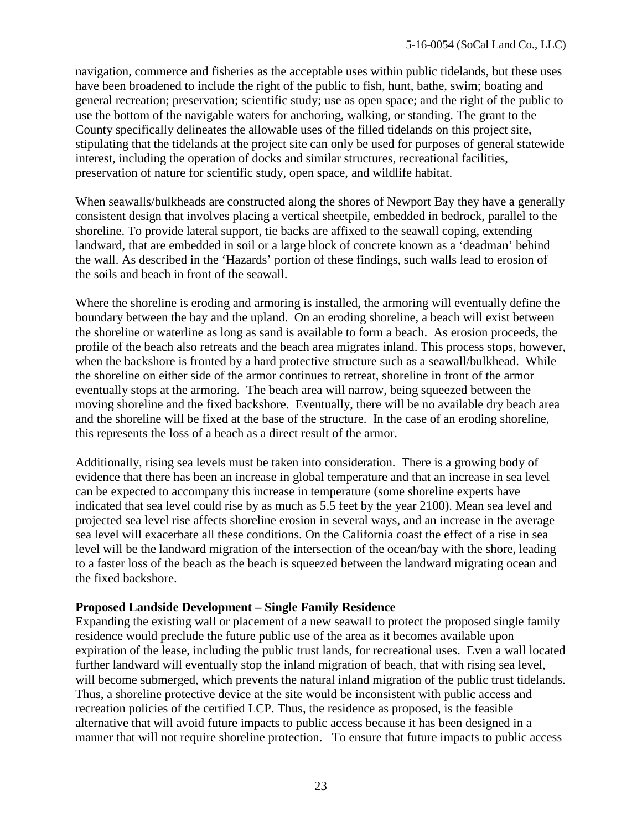navigation, commerce and fisheries as the acceptable uses within public tidelands, but these uses have been broadened to include the right of the public to fish, hunt, bathe, swim; boating and general recreation; preservation; scientific study; use as open space; and the right of the public to use the bottom of the navigable waters for anchoring, walking, or standing. The grant to the County specifically delineates the allowable uses of the filled tidelands on this project site, stipulating that the tidelands at the project site can only be used for purposes of general statewide interest, including the operation of docks and similar structures, recreational facilities, preservation of nature for scientific study, open space, and wildlife habitat.

When seawalls/bulkheads are constructed along the shores of Newport Bay they have a generally consistent design that involves placing a vertical sheetpile, embedded in bedrock, parallel to the shoreline. To provide lateral support, tie backs are affixed to the seawall coping, extending landward, that are embedded in soil or a large block of concrete known as a 'deadman' behind the wall. As described in the 'Hazards' portion of these findings, such walls lead to erosion of the soils and beach in front of the seawall.

Where the shoreline is eroding and armoring is installed, the armoring will eventually define the boundary between the bay and the upland. On an eroding shoreline, a beach will exist between the shoreline or waterline as long as sand is available to form a beach. As erosion proceeds, the profile of the beach also retreats and the beach area migrates inland. This process stops, however, when the backshore is fronted by a hard protective structure such as a seawall/bulkhead. While the shoreline on either side of the armor continues to retreat, shoreline in front of the armor eventually stops at the armoring. The beach area will narrow, being squeezed between the moving shoreline and the fixed backshore. Eventually, there will be no available dry beach area and the shoreline will be fixed at the base of the structure. In the case of an eroding shoreline, this represents the loss of a beach as a direct result of the armor.

Additionally, rising sea levels must be taken into consideration. There is a growing body of evidence that there has been an increase in global temperature and that an increase in sea level can be expected to accompany this increase in temperature (some shoreline experts have indicated that sea level could rise by as much as 5.5 feet by the year 2100). Mean sea level and projected sea level rise affects shoreline erosion in several ways, and an increase in the average sea level will exacerbate all these conditions. On the California coast the effect of a rise in sea level will be the landward migration of the intersection of the ocean/bay with the shore, leading to a faster loss of the beach as the beach is squeezed between the landward migrating ocean and the fixed backshore.

#### **Proposed Landside Development – Single Family Residence**

Expanding the existing wall or placement of a new seawall to protect the proposed single family residence would preclude the future public use of the area as it becomes available upon expiration of the lease, including the public trust lands, for recreational uses. Even a wall located further landward will eventually stop the inland migration of beach, that with rising sea level, will become submerged, which prevents the natural inland migration of the public trust tidelands. Thus, a shoreline protective device at the site would be inconsistent with public access and recreation policies of the certified LCP. Thus, the residence as proposed, is the feasible alternative that will avoid future impacts to public access because it has been designed in a manner that will not require shoreline protection. To ensure that future impacts to public access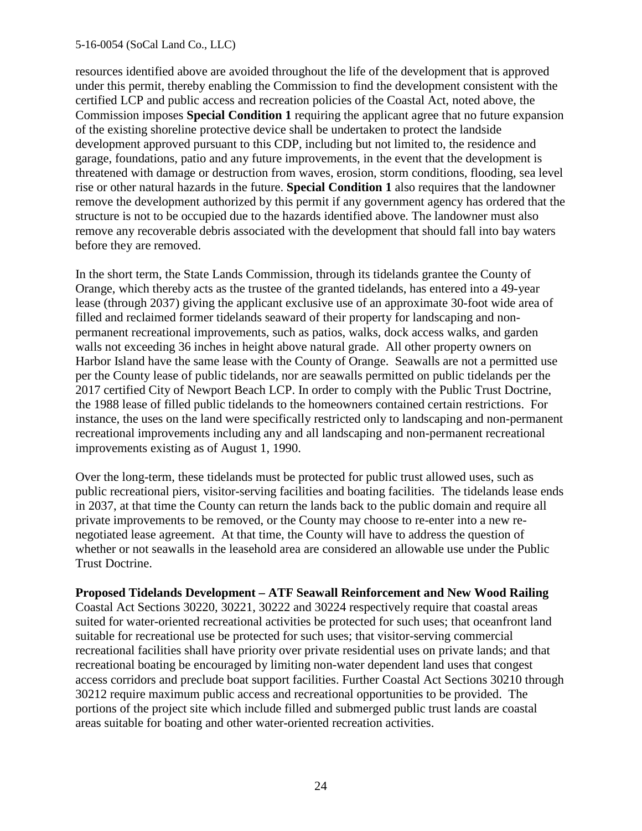resources identified above are avoided throughout the life of the development that is approved under this permit, thereby enabling the Commission to find the development consistent with the certified LCP and public access and recreation policies of the Coastal Act, noted above, the Commission imposes **Special Condition 1** requiring the applicant agree that no future expansion of the existing shoreline protective device shall be undertaken to protect the landside development approved pursuant to this CDP, including but not limited to, the residence and garage, foundations, patio and any future improvements, in the event that the development is threatened with damage or destruction from waves, erosion, storm conditions, flooding, sea level rise or other natural hazards in the future. **Special Condition 1** also requires that the landowner remove the development authorized by this permit if any government agency has ordered that the structure is not to be occupied due to the hazards identified above. The landowner must also remove any recoverable debris associated with the development that should fall into bay waters before they are removed.

In the short term, the State Lands Commission, through its tidelands grantee the County of Orange, which thereby acts as the trustee of the granted tidelands, has entered into a 49-year lease (through 2037) giving the applicant exclusive use of an approximate 30-foot wide area of filled and reclaimed former tidelands seaward of their property for landscaping and nonpermanent recreational improvements, such as patios, walks, dock access walks, and garden walls not exceeding 36 inches in height above natural grade. All other property owners on Harbor Island have the same lease with the County of Orange. Seawalls are not a permitted use per the County lease of public tidelands, nor are seawalls permitted on public tidelands per the 2017 certified City of Newport Beach LCP. In order to comply with the Public Trust Doctrine, the 1988 lease of filled public tidelands to the homeowners contained certain restrictions. For instance, the uses on the land were specifically restricted only to landscaping and non-permanent recreational improvements including any and all landscaping and non-permanent recreational improvements existing as of August 1, 1990.

Over the long-term, these tidelands must be protected for public trust allowed uses, such as public recreational piers, visitor-serving facilities and boating facilities. The tidelands lease ends in 2037, at that time the County can return the lands back to the public domain and require all private improvements to be removed, or the County may choose to re-enter into a new renegotiated lease agreement. At that time, the County will have to address the question of whether or not seawalls in the leasehold area are considered an allowable use under the Public Trust Doctrine.

**Proposed Tidelands Development – ATF Seawall Reinforcement and New Wood Railing** 

Coastal Act Sections 30220, 30221, 30222 and 30224 respectively require that coastal areas suited for water-oriented recreational activities be protected for such uses; that oceanfront land suitable for recreational use be protected for such uses; that visitor-serving commercial recreational facilities shall have priority over private residential uses on private lands; and that recreational boating be encouraged by limiting non-water dependent land uses that congest access corridors and preclude boat support facilities. Further Coastal Act Sections 30210 through 30212 require maximum public access and recreational opportunities to be provided. The portions of the project site which include filled and submerged public trust lands are coastal areas suitable for boating and other water-oriented recreation activities.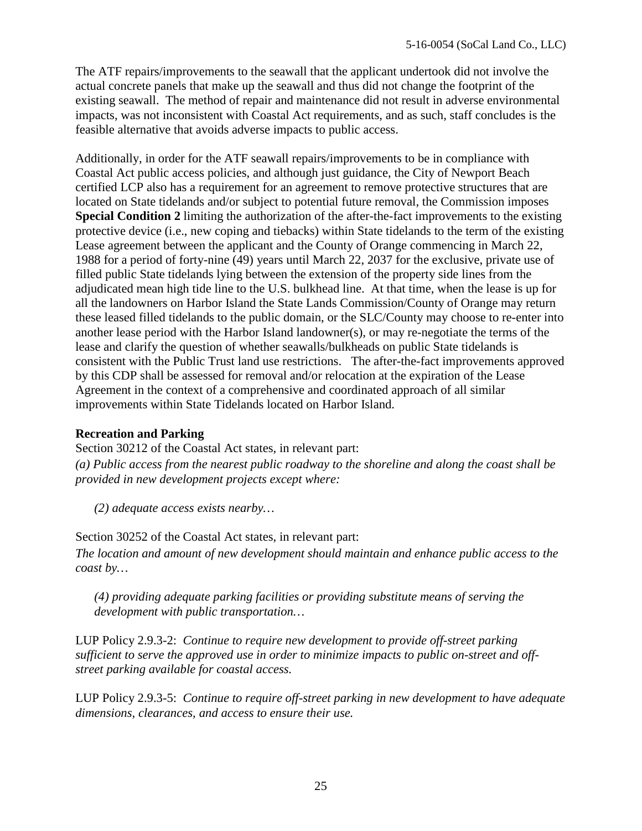The ATF repairs/improvements to the seawall that the applicant undertook did not involve the actual concrete panels that make up the seawall and thus did not change the footprint of the existing seawall. The method of repair and maintenance did not result in adverse environmental impacts, was not inconsistent with Coastal Act requirements, and as such, staff concludes is the feasible alternative that avoids adverse impacts to public access.

Additionally, in order for the ATF seawall repairs/improvements to be in compliance with Coastal Act public access policies, and although just guidance, the City of Newport Beach certified LCP also has a requirement for an agreement to remove protective structures that are located on State tidelands and/or subject to potential future removal, the Commission imposes **Special Condition 2** limiting the authorization of the after-the-fact improvements to the existing protective device (i.e., new coping and tiebacks) within State tidelands to the term of the existing Lease agreement between the applicant and the County of Orange commencing in March 22, 1988 for a period of forty-nine (49) years until March 22, 2037 for the exclusive, private use of filled public State tidelands lying between the extension of the property side lines from the adjudicated mean high tide line to the U.S. bulkhead line. At that time, when the lease is up for all the landowners on Harbor Island the State Lands Commission/County of Orange may return these leased filled tidelands to the public domain, or the SLC/County may choose to re-enter into another lease period with the Harbor Island landowner(s), or may re-negotiate the terms of the lease and clarify the question of whether seawalls/bulkheads on public State tidelands is consistent with the Public Trust land use restrictions. The after-the-fact improvements approved by this CDP shall be assessed for removal and/or relocation at the expiration of the Lease Agreement in the context of a comprehensive and coordinated approach of all similar improvements within State Tidelands located on Harbor Island.

#### **Recreation and Parking**

Section 30212 of the Coastal Act states, in relevant part:

*(a) Public access from the nearest public roadway to the shoreline and along the coast shall be provided in new development projects except where:* 

*(2) adequate access exists nearby…*

Section 30252 of the Coastal Act states, in relevant part:

*The location and amount of new development should maintain and enhance public access to the coast by…* 

*(4) providing adequate parking facilities or providing substitute means of serving the development with public transportation…* 

LUP Policy 2.9.3-2: *Continue to require new development to provide off-street parking sufficient to serve the approved use in order to minimize impacts to public on-street and offstreet parking available for coastal access.* 

LUP Policy 2.9.3-5: *Continue to require off-street parking in new development to have adequate dimensions, clearances, and access to ensure their use.*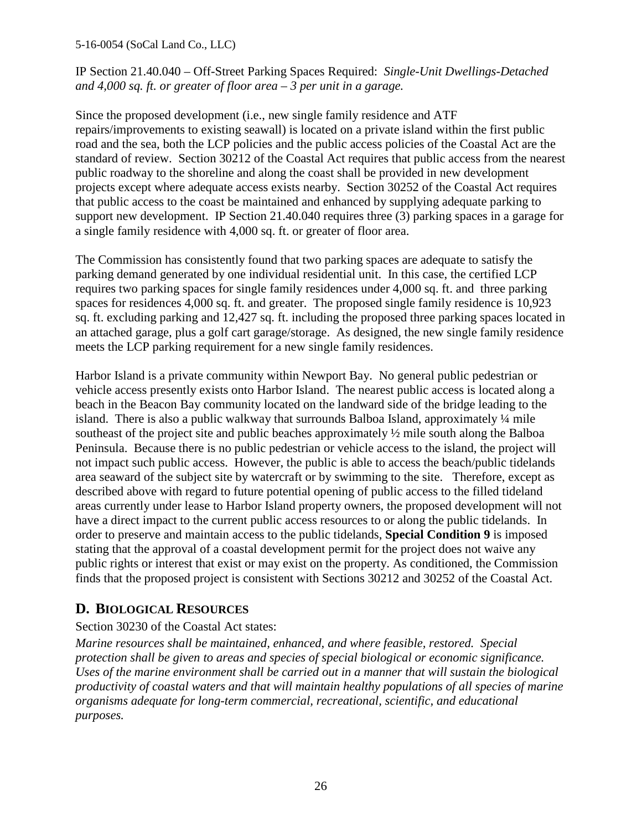IP Section 21.40.040 – Off-Street Parking Spaces Required: *Single-Unit Dwellings-Detached and 4,000 sq. ft. or greater of floor area – 3 per unit in a garage.* 

Since the proposed development (i.e., new single family residence and ATF repairs/improvements to existing seawall) is located on a private island within the first public road and the sea, both the LCP policies and the public access policies of the Coastal Act are the standard of review. Section 30212 of the Coastal Act requires that public access from the nearest public roadway to the shoreline and along the coast shall be provided in new development projects except where adequate access exists nearby. Section 30252 of the Coastal Act requires that public access to the coast be maintained and enhanced by supplying adequate parking to support new development. IP Section 21.40.040 requires three (3) parking spaces in a garage for a single family residence with 4,000 sq. ft. or greater of floor area.

The Commission has consistently found that two parking spaces are adequate to satisfy the parking demand generated by one individual residential unit. In this case, the certified LCP requires two parking spaces for single family residences under 4,000 sq. ft. and three parking spaces for residences 4,000 sq. ft. and greater. The proposed single family residence is 10,923 sq. ft. excluding parking and 12,427 sq. ft. including the proposed three parking spaces located in an attached garage, plus a golf cart garage/storage. As designed, the new single family residence meets the LCP parking requirement for a new single family residences.

Harbor Island is a private community within Newport Bay. No general public pedestrian or vehicle access presently exists onto Harbor Island. The nearest public access is located along a beach in the Beacon Bay community located on the landward side of the bridge leading to the island. There is also a public walkway that surrounds Balboa Island, approximately ¼ mile southeast of the project site and public beaches approximately ½ mile south along the Balboa Peninsula. Because there is no public pedestrian or vehicle access to the island, the project will not impact such public access. However, the public is able to access the beach/public tidelands area seaward of the subject site by watercraft or by swimming to the site. Therefore, except as described above with regard to future potential opening of public access to the filled tideland areas currently under lease to Harbor Island property owners, the proposed development will not have a direct impact to the current public access resources to or along the public tidelands. In order to preserve and maintain access to the public tidelands, **Special Condition 9** is imposed stating that the approval of a coastal development permit for the project does not waive any public rights or interest that exist or may exist on the property. As conditioned, the Commission finds that the proposed project is consistent with Sections 30212 and 30252 of the Coastal Act.

## **D. BIOLOGICAL RESOURCES**

Section 30230 of the Coastal Act states:

*Marine resources shall be maintained, enhanced, and where feasible, restored. Special protection shall be given to areas and species of special biological or economic significance. Uses of the marine environment shall be carried out in a manner that will sustain the biological productivity of coastal waters and that will maintain healthy populations of all species of marine organisms adequate for long-term commercial, recreational, scientific, and educational purposes.*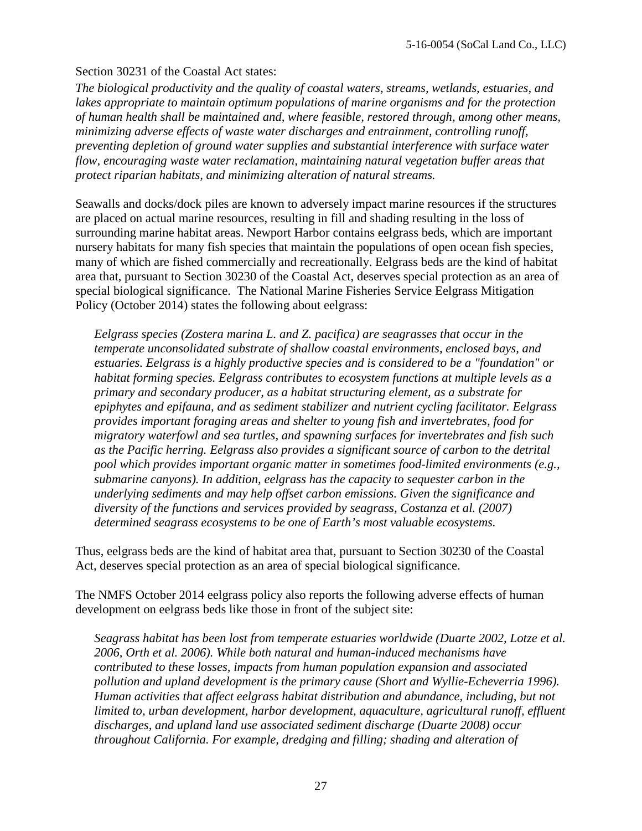#### Section 30231 of the Coastal Act states:

*The biological productivity and the quality of coastal waters, streams, wetlands, estuaries, and*  lakes appropriate to maintain optimum populations of marine organisms and for the protection *of human health shall be maintained and, where feasible, restored through, among other means, minimizing adverse effects of waste water discharges and entrainment, controlling runoff, preventing depletion of ground water supplies and substantial interference with surface water flow, encouraging waste water reclamation, maintaining natural vegetation buffer areas that protect riparian habitats, and minimizing alteration of natural streams.* 

Seawalls and docks/dock piles are known to adversely impact marine resources if the structures are placed on actual marine resources, resulting in fill and shading resulting in the loss of surrounding marine habitat areas. Newport Harbor contains eelgrass beds, which are important nursery habitats for many fish species that maintain the populations of open ocean fish species, many of which are fished commercially and recreationally. Eelgrass beds are the kind of habitat area that, pursuant to Section 30230 of the Coastal Act, deserves special protection as an area of special biological significance. The National Marine Fisheries Service Eelgrass Mitigation Policy (October 2014) states the following about eelgrass:

*Eelgrass species (Zostera marina L. and Z. pacifica) are seagrasses that occur in the temperate unconsolidated substrate of shallow coastal environments, enclosed bays, and estuaries. Eelgrass is a highly productive species and is considered to be a "foundation" or habitat forming species. Eelgrass contributes to ecosystem functions at multiple levels as a primary and secondary producer, as a habitat structuring element, as a substrate for epiphytes and epifauna, and as sediment stabilizer and nutrient cycling facilitator. Eelgrass provides important foraging areas and shelter to young fish and invertebrates, food for migratory waterfowl and sea turtles, and spawning surfaces for invertebrates and fish such as the Pacific herring. Eelgrass also provides a significant source of carbon to the detrital pool which provides important organic matter in sometimes food-limited environments (e.g., submarine canyons). In addition, eelgrass has the capacity to sequester carbon in the underlying sediments and may help offset carbon emissions. Given the significance and diversity of the functions and services provided by seagrass, Costanza et al. (2007) determined seagrass ecosystems to be one of Earth's most valuable ecosystems.* 

Thus, eelgrass beds are the kind of habitat area that, pursuant to Section 30230 of the Coastal Act, deserves special protection as an area of special biological significance.

The NMFS October 2014 eelgrass policy also reports the following adverse effects of human development on eelgrass beds like those in front of the subject site:

*Seagrass habitat has been lost from temperate estuaries worldwide (Duarte 2002, Lotze et al. 2006, Orth et al. 2006). While both natural and human-induced mechanisms have contributed to these losses, impacts from human population expansion and associated pollution and upland development is the primary cause (Short and Wyllie-Echeverria 1996). Human activities that affect eelgrass habitat distribution and abundance, including, but not limited to, urban development, harbor development, aquaculture, agricultural runoff, effluent discharges, and upland land use associated sediment discharge (Duarte 2008) occur throughout California. For example, dredging and filling; shading and alteration of*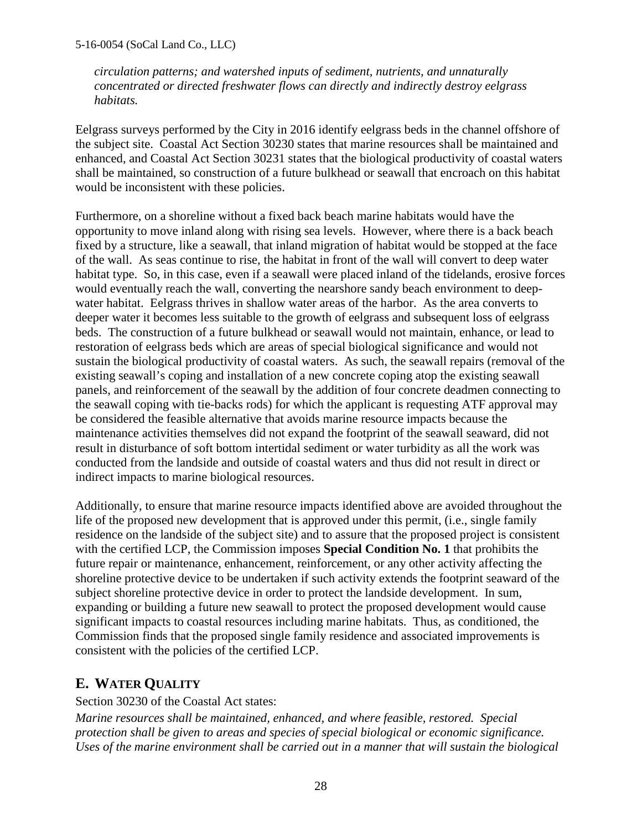*circulation patterns; and watershed inputs of sediment, nutrients, and unnaturally concentrated or directed freshwater flows can directly and indirectly destroy eelgrass habitats.* 

Eelgrass surveys performed by the City in 2016 identify eelgrass beds in the channel offshore of the subject site. Coastal Act Section 30230 states that marine resources shall be maintained and enhanced, and Coastal Act Section 30231 states that the biological productivity of coastal waters shall be maintained, so construction of a future bulkhead or seawall that encroach on this habitat would be inconsistent with these policies.

Furthermore, on a shoreline without a fixed back beach marine habitats would have the opportunity to move inland along with rising sea levels. However, where there is a back beach fixed by a structure, like a seawall, that inland migration of habitat would be stopped at the face of the wall. As seas continue to rise, the habitat in front of the wall will convert to deep water habitat type. So, in this case, even if a seawall were placed inland of the tidelands, erosive forces would eventually reach the wall, converting the nearshore sandy beach environment to deepwater habitat. Eelgrass thrives in shallow water areas of the harbor. As the area converts to deeper water it becomes less suitable to the growth of eelgrass and subsequent loss of eelgrass beds. The construction of a future bulkhead or seawall would not maintain, enhance, or lead to restoration of eelgrass beds which are areas of special biological significance and would not sustain the biological productivity of coastal waters. As such, the seawall repairs (removal of the existing seawall's coping and installation of a new concrete coping atop the existing seawall panels, and reinforcement of the seawall by the addition of four concrete deadmen connecting to the seawall coping with tie-backs rods) for which the applicant is requesting ATF approval may be considered the feasible alternative that avoids marine resource impacts because the maintenance activities themselves did not expand the footprint of the seawall seaward, did not result in disturbance of soft bottom intertidal sediment or water turbidity as all the work was conducted from the landside and outside of coastal waters and thus did not result in direct or indirect impacts to marine biological resources.

Additionally, to ensure that marine resource impacts identified above are avoided throughout the life of the proposed new development that is approved under this permit, (i.e., single family residence on the landside of the subject site) and to assure that the proposed project is consistent with the certified LCP, the Commission imposes **Special Condition No. 1** that prohibits the future repair or maintenance, enhancement, reinforcement, or any other activity affecting the shoreline protective device to be undertaken if such activity extends the footprint seaward of the subject shoreline protective device in order to protect the landside development. In sum, expanding or building a future new seawall to protect the proposed development would cause significant impacts to coastal resources including marine habitats. Thus, as conditioned, the Commission finds that the proposed single family residence and associated improvements is consistent with the policies of the certified LCP.

## **E. WATER QUALITY**

Section 30230 of the Coastal Act states:

*Marine resources shall be maintained, enhanced, and where feasible, restored. Special protection shall be given to areas and species of special biological or economic significance. Uses of the marine environment shall be carried out in a manner that will sustain the biological*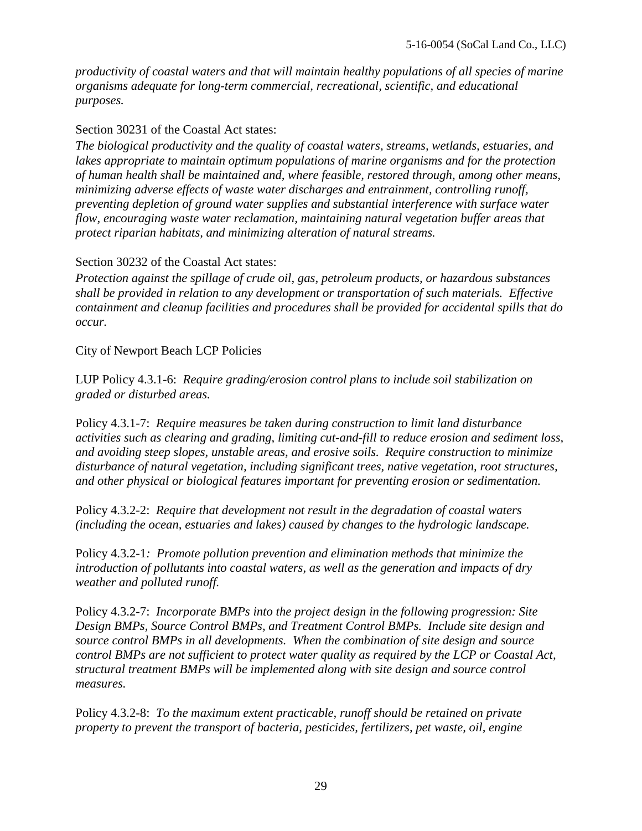*productivity of coastal waters and that will maintain healthy populations of all species of marine organisms adequate for long-term commercial, recreational, scientific, and educational purposes.* 

#### Section 30231 of the Coastal Act states:

*The biological productivity and the quality of coastal waters, streams, wetlands, estuaries, and lakes appropriate to maintain optimum populations of marine organisms and for the protection of human health shall be maintained and, where feasible, restored through, among other means, minimizing adverse effects of waste water discharges and entrainment, controlling runoff, preventing depletion of ground water supplies and substantial interference with surface water flow, encouraging waste water reclamation, maintaining natural vegetation buffer areas that protect riparian habitats, and minimizing alteration of natural streams.* 

#### Section 30232 of the Coastal Act states:

*Protection against the spillage of crude oil, gas, petroleum products, or hazardous substances shall be provided in relation to any development or transportation of such materials. Effective containment and cleanup facilities and procedures shall be provided for accidental spills that do occur.*

#### City of Newport Beach LCP Policies

LUP Policy 4.3.1-6: *Require grading/erosion control plans to include soil stabilization on graded or disturbed areas.* 

Policy 4.3.1-7: *Require measures be taken during construction to limit land disturbance activities such as clearing and grading, limiting cut-and-fill to reduce erosion and sediment loss, and avoiding steep slopes, unstable areas, and erosive soils. Require construction to minimize disturbance of natural vegetation, including significant trees, native vegetation, root structures, and other physical or biological features important for preventing erosion or sedimentation.* 

Policy 4.3.2-2: *Require that development not result in the degradation of coastal waters (including the ocean, estuaries and lakes) caused by changes to the hydrologic landscape.* 

Policy 4.3.2-1*: Promote pollution prevention and elimination methods that minimize the introduction of pollutants into coastal waters, as well as the generation and impacts of dry weather and polluted runoff.* 

Policy 4.3.2-7: *Incorporate BMPs into the project design in the following progression: Site Design BMPs, Source Control BMPs, and Treatment Control BMPs. Include site design and source control BMPs in all developments. When the combination of site design and source control BMPs are not sufficient to protect water quality as required by the LCP or Coastal Act, structural treatment BMPs will be implemented along with site design and source control measures.*

Policy 4.3.2-8: *To the maximum extent practicable, runoff should be retained on private property to prevent the transport of bacteria, pesticides, fertilizers, pet waste, oil, engine*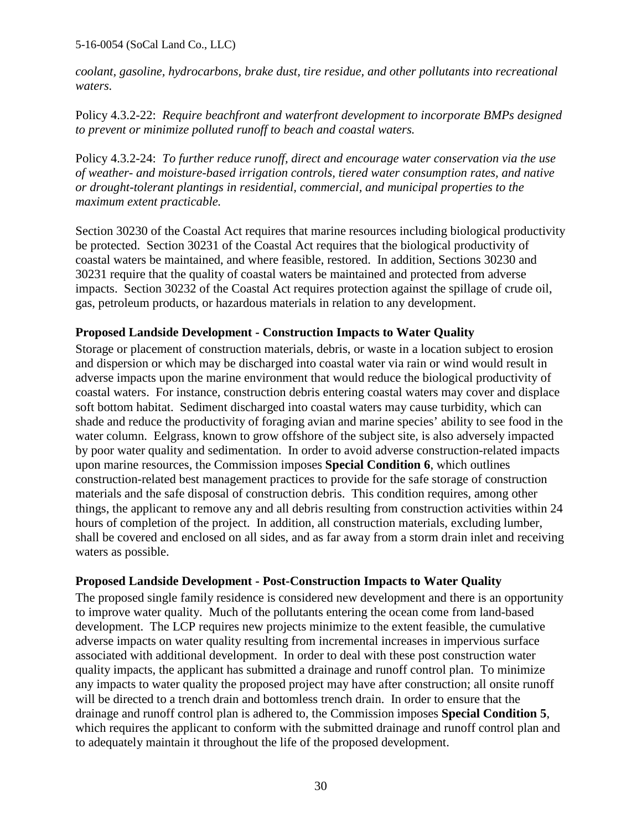*coolant, gasoline, hydrocarbons, brake dust, tire residue, and other pollutants into recreational waters.*

Policy 4.3.2-22: *Require beachfront and waterfront development to incorporate BMPs designed to prevent or minimize polluted runoff to beach and coastal waters.* 

Policy 4.3.2-24: *To further reduce runoff, direct and encourage water conservation via the use of weather- and moisture-based irrigation controls, tiered water consumption rates, and native or drought-tolerant plantings in residential, commercial, and municipal properties to the maximum extent practicable.*

Section 30230 of the Coastal Act requires that marine resources including biological productivity be protected. Section 30231 of the Coastal Act requires that the biological productivity of coastal waters be maintained, and where feasible, restored. In addition, Sections 30230 and 30231 require that the quality of coastal waters be maintained and protected from adverse impacts. Section 30232 of the Coastal Act requires protection against the spillage of crude oil, gas, petroleum products, or hazardous materials in relation to any development.

#### **Proposed Landside Development - Construction Impacts to Water Quality**

Storage or placement of construction materials, debris, or waste in a location subject to erosion and dispersion or which may be discharged into coastal water via rain or wind would result in adverse impacts upon the marine environment that would reduce the biological productivity of coastal waters. For instance, construction debris entering coastal waters may cover and displace soft bottom habitat. Sediment discharged into coastal waters may cause turbidity, which can shade and reduce the productivity of foraging avian and marine species' ability to see food in the water column. Eelgrass, known to grow offshore of the subject site, is also adversely impacted by poor water quality and sedimentation. In order to avoid adverse construction-related impacts upon marine resources, the Commission imposes **Special Condition 6**, which outlines construction-related best management practices to provide for the safe storage of construction materials and the safe disposal of construction debris. This condition requires, among other things, the applicant to remove any and all debris resulting from construction activities within 24 hours of completion of the project. In addition, all construction materials, excluding lumber, shall be covered and enclosed on all sides, and as far away from a storm drain inlet and receiving waters as possible.

#### **Proposed Landside Development - Post-Construction Impacts to Water Quality**

The proposed single family residence is considered new development and there is an opportunity to improve water quality. Much of the pollutants entering the ocean come from land-based development. The LCP requires new projects minimize to the extent feasible, the cumulative adverse impacts on water quality resulting from incremental increases in impervious surface associated with additional development. In order to deal with these post construction water quality impacts, the applicant has submitted a drainage and runoff control plan. To minimize any impacts to water quality the proposed project may have after construction; all onsite runoff will be directed to a trench drain and bottomless trench drain. In order to ensure that the drainage and runoff control plan is adhered to, the Commission imposes **Special Condition 5**, which requires the applicant to conform with the submitted drainage and runoff control plan and to adequately maintain it throughout the life of the proposed development.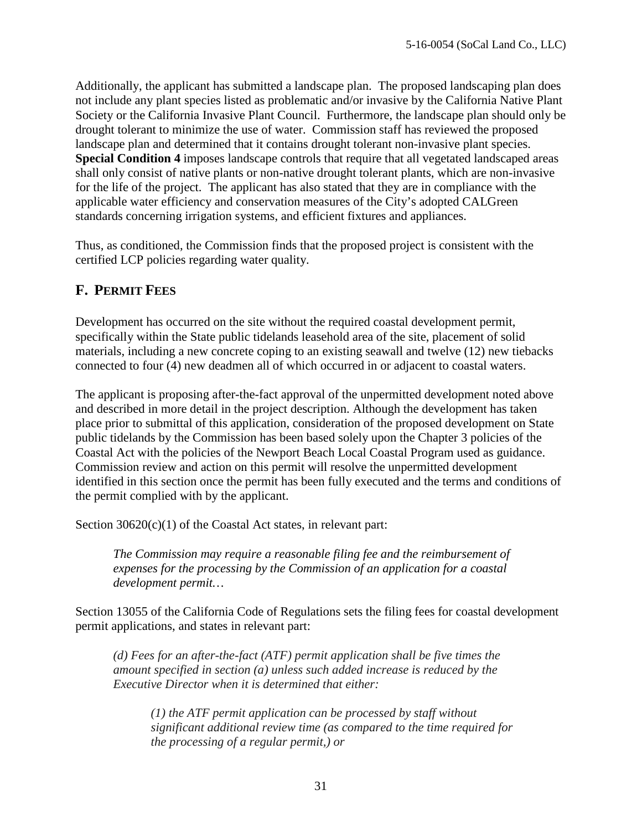Additionally, the applicant has submitted a landscape plan. The proposed landscaping plan does not include any plant species listed as problematic and/or invasive by the California Native Plant Society or the California Invasive Plant Council. Furthermore, the landscape plan should only be drought tolerant to minimize the use of water. Commission staff has reviewed the proposed landscape plan and determined that it contains drought tolerant non-invasive plant species. **Special Condition 4** imposes landscape controls that require that all vegetated landscaped areas shall only consist of native plants or non-native drought tolerant plants, which are non-invasive for the life of the project. The applicant has also stated that they are in compliance with the applicable water efficiency and conservation measures of the City's adopted CALGreen standards concerning irrigation systems, and efficient fixtures and appliances.

Thus, as conditioned, the Commission finds that the proposed project is consistent with the certified LCP policies regarding water quality.

## **F. PERMIT FEES**

Development has occurred on the site without the required coastal development permit, specifically within the State public tidelands leasehold area of the site, placement of solid materials, including a new concrete coping to an existing seawall and twelve (12) new tiebacks connected to four (4) new deadmen all of which occurred in or adjacent to coastal waters.

The applicant is proposing after-the-fact approval of the unpermitted development noted above and described in more detail in the project description. Although the development has taken place prior to submittal of this application, consideration of the proposed development on State public tidelands by the Commission has been based solely upon the Chapter 3 policies of the Coastal Act with the policies of the Newport Beach Local Coastal Program used as guidance. Commission review and action on this permit will resolve the unpermitted development identified in this section once the permit has been fully executed and the terms and conditions of the permit complied with by the applicant.

Section 30620(c)(1) of the Coastal Act states, in relevant part:

*The Commission may require a reasonable filing fee and the reimbursement of expenses for the processing by the Commission of an application for a coastal development permit…*

Section 13055 of the California Code of Regulations sets the filing fees for coastal development permit applications, and states in relevant part:

*(d) Fees for an after-the-fact (ATF) permit application shall be five times the amount specified in section (a) unless such added increase is reduced by the Executive Director when it is determined that either:*

*(1) the ATF permit application can be processed by staff without significant additional review time (as compared to the time required for the processing of a regular permit,) or*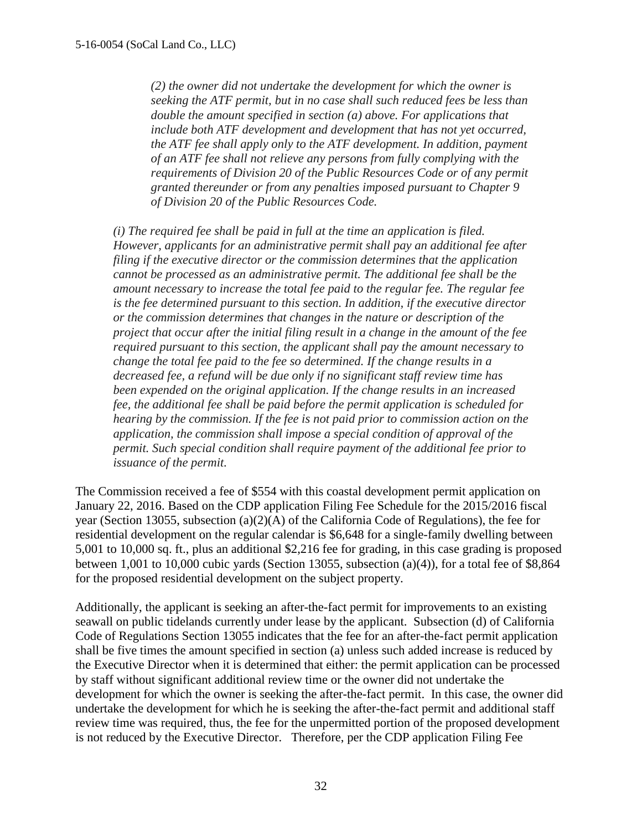*(2) the owner did not undertake the development for which the owner is seeking the ATF permit, but in no case shall such reduced fees be less than double the amount specified in section (a) above. For applications that include both ATF development and development that has not yet occurred, the ATF fee shall apply only to the ATF development. In addition, payment of an ATF fee shall not relieve any persons from fully complying with the requirements of Division 20 of the Public Resources Code or of any permit granted thereunder or from any penalties imposed pursuant to Chapter 9 of Division 20 of the Public Resources Code.*

*(i) The required fee shall be paid in full at the time an application is filed. However, applicants for an administrative permit shall pay an additional fee after filing if the executive director or the commission determines that the application cannot be processed as an administrative permit. The additional fee shall be the amount necessary to increase the total fee paid to the regular fee. The regular fee is the fee determined pursuant to this section. In addition, if the executive director or the commission determines that changes in the nature or description of the project that occur after the initial filing result in a change in the amount of the fee required pursuant to this section, the applicant shall pay the amount necessary to change the total fee paid to the fee so determined. If the change results in a decreased fee, a refund will be due only if no significant staff review time has been expended on the original application. If the change results in an increased fee, the additional fee shall be paid before the permit application is scheduled for hearing by the commission. If the fee is not paid prior to commission action on the application, the commission shall impose a special condition of approval of the permit. Such special condition shall require payment of the additional fee prior to issuance of the permit.* 

The Commission received a fee of \$554 with this coastal development permit application on January 22, 2016. Based on the CDP application Filing Fee Schedule for the 2015/2016 fiscal year (Section 13055, subsection (a)(2)(A) of the California Code of Regulations), the fee for residential development on the regular calendar is \$6,648 for a single-family dwelling between 5,001 to 10,000 sq. ft., plus an additional \$2,216 fee for grading, in this case grading is proposed between 1,001 to 10,000 cubic yards (Section 13055, subsection (a)(4)), for a total fee of \$8,864 for the proposed residential development on the subject property.

Additionally, the applicant is seeking an after-the-fact permit for improvements to an existing seawall on public tidelands currently under lease by the applicant. Subsection (d) of California Code of Regulations Section 13055 indicates that the fee for an after-the-fact permit application shall be five times the amount specified in section (a) unless such added increase is reduced by the Executive Director when it is determined that either: the permit application can be processed by staff without significant additional review time or the owner did not undertake the development for which the owner is seeking the after-the-fact permit. In this case, the owner did undertake the development for which he is seeking the after-the-fact permit and additional staff review time was required, thus, the fee for the unpermitted portion of the proposed development is not reduced by the Executive Director. Therefore, per the CDP application Filing Fee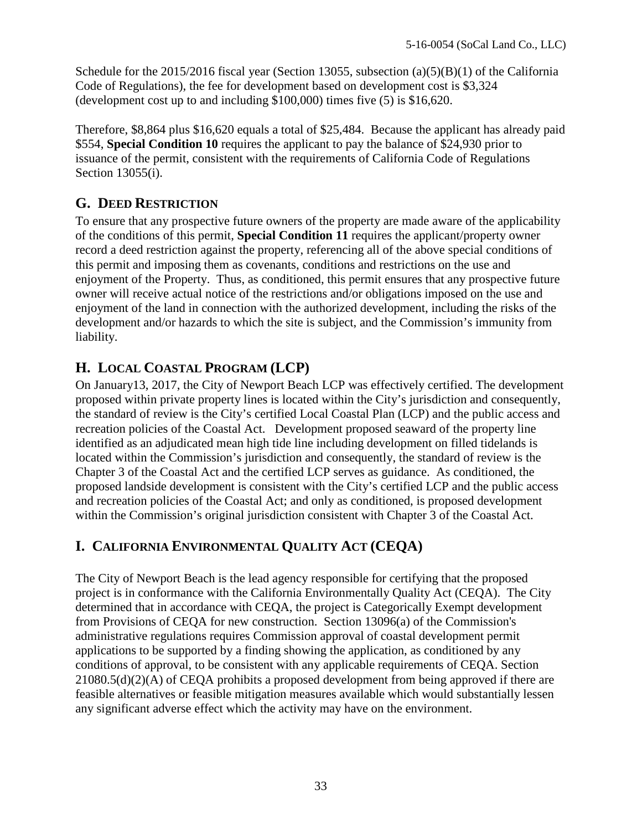Schedule for the 2015/2016 fiscal year (Section 13055, subsection (a)(5)(B)(1) of the California Code of Regulations), the fee for development based on development cost is \$3,324 (development cost up to and including \$100,000) times five (5) is \$16,620.

Therefore, \$8,864 plus \$16,620 equals a total of \$25,484. Because the applicant has already paid \$554, **Special Condition 10** requires the applicant to pay the balance of \$24,930 prior to issuance of the permit, consistent with the requirements of California Code of Regulations Section 13055(i).

## **G. DEED RESTRICTION**

To ensure that any prospective future owners of the property are made aware of the applicability of the conditions of this permit, **Special Condition 11** requires the applicant/property owner record a deed restriction against the property, referencing all of the above special conditions of this permit and imposing them as covenants, conditions and restrictions on the use and enjoyment of the Property. Thus, as conditioned, this permit ensures that any prospective future owner will receive actual notice of the restrictions and/or obligations imposed on the use and enjoyment of the land in connection with the authorized development, including the risks of the development and/or hazards to which the site is subject, and the Commission's immunity from liability.

## **H. LOCAL COASTAL PROGRAM (LCP)**

On January13, 2017, the City of Newport Beach LCP was effectively certified. The development proposed within private property lines is located within the City's jurisdiction and consequently, the standard of review is the City's certified Local Coastal Plan (LCP) and the public access and recreation policies of the Coastal Act. Development proposed seaward of the property line identified as an adjudicated mean high tide line including development on filled tidelands is located within the Commission's jurisdiction and consequently, the standard of review is the Chapter 3 of the Coastal Act and the certified LCP serves as guidance. As conditioned, the proposed landside development is consistent with the City's certified LCP and the public access and recreation policies of the Coastal Act; and only as conditioned, is proposed development within the Commission's original jurisdiction consistent with Chapter 3 of the Coastal Act.

## **I. CALIFORNIA ENVIRONMENTAL QUALITY ACT (CEQA)**

The City of Newport Beach is the lead agency responsible for certifying that the proposed project is in conformance with the California Environmentally Quality Act (CEQA). The City determined that in accordance with CEQA, the project is Categorically Exempt development from Provisions of CEQA for new construction. Section 13096(a) of the Commission's administrative regulations requires Commission approval of coastal development permit applications to be supported by a finding showing the application, as conditioned by any conditions of approval, to be consistent with any applicable requirements of CEQA. Section 21080.5(d)(2)(A) of CEQA prohibits a proposed development from being approved if there are feasible alternatives or feasible mitigation measures available which would substantially lessen any significant adverse effect which the activity may have on the environment.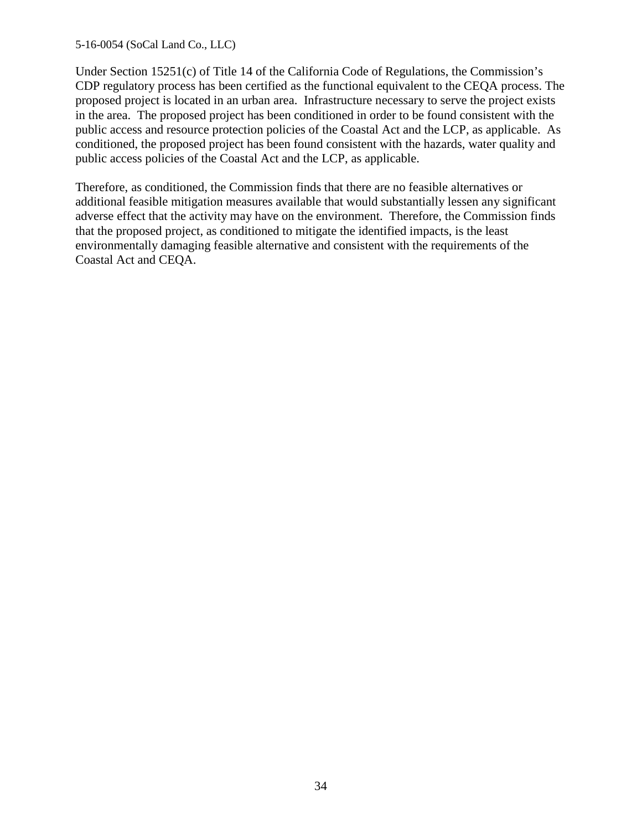Under Section 15251(c) of Title 14 of the California Code of Regulations, the Commission's CDP regulatory process has been certified as the functional equivalent to the CEQA process. The proposed project is located in an urban area. Infrastructure necessary to serve the project exists in the area. The proposed project has been conditioned in order to be found consistent with the public access and resource protection policies of the Coastal Act and the LCP, as applicable. As conditioned, the proposed project has been found consistent with the hazards, water quality and public access policies of the Coastal Act and the LCP, as applicable.

Therefore, as conditioned, the Commission finds that there are no feasible alternatives or additional feasible mitigation measures available that would substantially lessen any significant adverse effect that the activity may have on the environment. Therefore, the Commission finds that the proposed project, as conditioned to mitigate the identified impacts, is the least environmentally damaging feasible alternative and consistent with the requirements of the Coastal Act and CEQA.